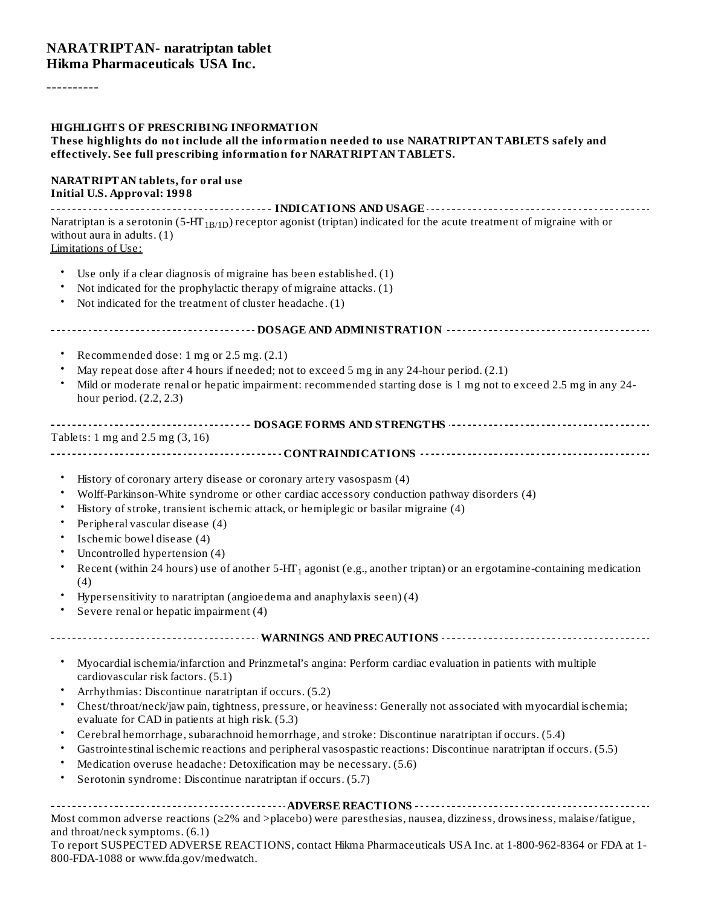#### **NARATRIPTAN- naratriptan tablet Hikma Pharmaceuticals USA Inc.**

----------

#### **HIGHLIGHTS OF PRESCRIBING INFORMATION**

#### **These highlights do not include all the information needed to use NARATRIPTAN TABLETS safely and effectively. See full prescribing information for NARATRIPTAN TABLETS.**

#### **NARATRIPTAN tablets, for oral use Initial U.S. Approval: 1998**

**INDICATIONS AND USAGE** Naratriptan is a serotonin (5-HT $_{\rm 1B/1D}$ ) receptor agonist (triptan) indicated for the acute treatment of migraine with or without aura in adults. (1) Limitations of Use:

- Use only if a clear diagnosis of migraine has been established. (1)
- Not indicated for the prophylactic therapy of migraine attacks. (1)
- Not indicated for the treatment of cluster headache. (1)

#### **DOSAGE AND ADMINISTRATION**

- Recommended dose: 1 mg or 2.5 mg. (2.1)
- May repeat dose after 4 hours if needed; not to exceed 5 mg in any 24-hour period. (2.1)
- Mild or moderate renal or hepatic impairment: recommended starting dose is 1 mg not to exceed 2.5 mg in any 24 hour period. (2.2, 2.3)

#### **DOSAGE FORMS AND STRENGTHS** Tablets: 1 mg and 2.5 mg (3, 16)

**CONTRAINDICATIONS**

- History of coronary artery disease or coronary artery vasospasm (4)
- Wolff-Parkinson-White syndrome or other cardiac accessory conduction pathway disorders (4)
- History of stroke, transient ischemic attack, or hemiplegic or basilar migraine (4)
- Peripheral vascular disease (4)
- Ischemic bowel disease (4)
- Uncontrolled hypertension (4)
- Recent (within 24 hours) use of another 5-HT $_1$  agonist (e.g., another triptan) or an ergotamine-containing medication (4)
- Hypersensitivity to naratriptan (angioedema and anaphylaxis seen) (4)
- Severe renal or hepatic impairment (4)

**WARNINGS AND PRECAUTIONS**

- Myocardial ischemia/infarction and Prinzmetal's angina: Perform cardiac evaluation in patients with multiple cardiovascular risk factors. (5.1)
- Arrhythmias: Discontinue naratriptan if occurs. (5.2)
- Chest/throat/neck/jaw pain, tightness, pressure, or heaviness: Generally not associated with myocardial ischemia; evaluate for CAD in patients at high risk. (5.3)
- Cerebral hemorrhage, subarachnoid hemorrhage, and stroke: Discontinue naratriptan if occurs. (5.4)
- Gastrointestinal ischemic reactions and peripheral vasospastic reactions: Discontinue naratriptan if occurs. (5.5)
- Medication overuse headache: Detoxification may be necessary. (5.6)
- Serotonin syndrome: Discontinue naratriptan if occurs. (5.7)

**ADVERSE REACTIONS**

Most common adverse reactions (≥2% and >placebo) were paresthesias, nausea, dizziness, drowsiness, malaise/fatigue, and throat/neck symptoms. (6.1)

To report SUSPECTED ADVERSE REACTIONS, contact Hikma Pharmaceuticals USA Inc. at 1-800-962-8364 or FDA at 1- 800-FDA-1088 or www.fda.gov/medwatch.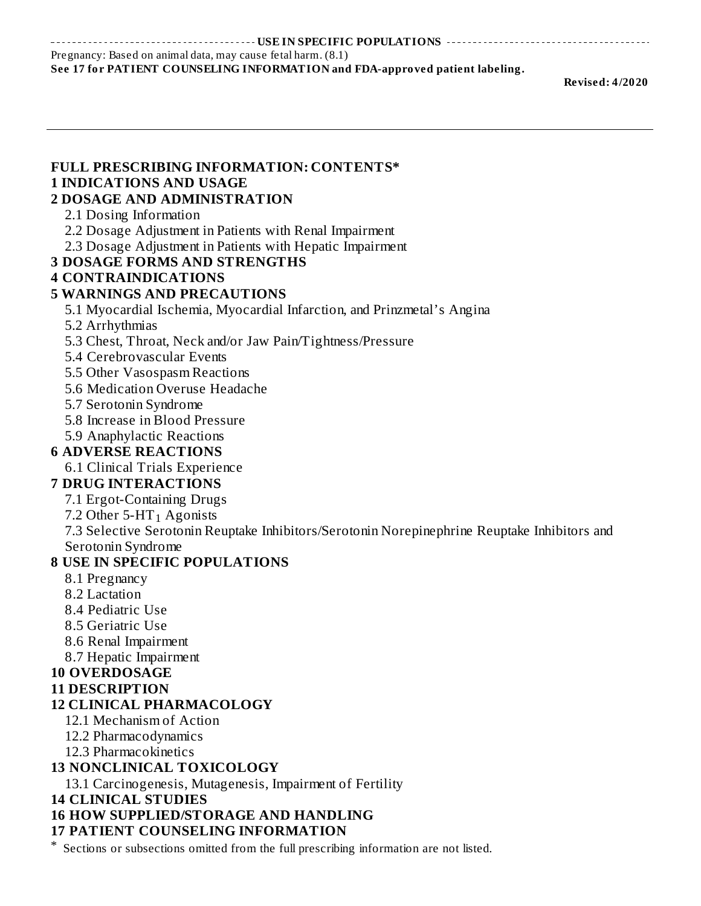**USE IN SPECIFIC POPULATIONS**

Pregnancy: Based on animal data, may cause fetal harm. (8.1)

#### **See 17 for PATIENT COUNSELING INFORMATION and FDA-approved patient labeling.**

**Revised: 4/2020**

| <b>FULL PRESCRIBING INFORMATION: CONTENTS*</b><br><b>1 INDICATIONS AND USAGE</b><br><b>2 DOSAGE AND ADMINISTRATION</b><br>2.1 Dosing Information<br>2.2 Dosage Adjustment in Patients with Renal Impairment<br>2.3 Dosage Adjustment in Patients with Hepatic Impairment<br><b>3 DOSAGE FORMS AND STRENGTHS</b><br><b>4 CONTRAINDICATIONS</b><br><b>5 WARNINGS AND PRECAUTIONS</b><br>5.1 Myocardial Ischemia, Myocardial Infarction, and Prinzmetal's Angina |
|---------------------------------------------------------------------------------------------------------------------------------------------------------------------------------------------------------------------------------------------------------------------------------------------------------------------------------------------------------------------------------------------------------------------------------------------------------------|
|                                                                                                                                                                                                                                                                                                                                                                                                                                                               |
|                                                                                                                                                                                                                                                                                                                                                                                                                                                               |
|                                                                                                                                                                                                                                                                                                                                                                                                                                                               |
|                                                                                                                                                                                                                                                                                                                                                                                                                                                               |
|                                                                                                                                                                                                                                                                                                                                                                                                                                                               |
|                                                                                                                                                                                                                                                                                                                                                                                                                                                               |
|                                                                                                                                                                                                                                                                                                                                                                                                                                                               |
|                                                                                                                                                                                                                                                                                                                                                                                                                                                               |
|                                                                                                                                                                                                                                                                                                                                                                                                                                                               |
|                                                                                                                                                                                                                                                                                                                                                                                                                                                               |
| 5.2 Arrhythmias                                                                                                                                                                                                                                                                                                                                                                                                                                               |
| 5.3 Chest, Throat, Neck and/or Jaw Pain/Tightness/Pressure                                                                                                                                                                                                                                                                                                                                                                                                    |
| 5.4 Cerebrovascular Events                                                                                                                                                                                                                                                                                                                                                                                                                                    |
| 5.5 Other Vasospasm Reactions                                                                                                                                                                                                                                                                                                                                                                                                                                 |
| 5.6 Medication Overuse Headache                                                                                                                                                                                                                                                                                                                                                                                                                               |
| 5.7 Serotonin Syndrome                                                                                                                                                                                                                                                                                                                                                                                                                                        |
| 5.8 Increase in Blood Pressure                                                                                                                                                                                                                                                                                                                                                                                                                                |
| 5.9 Anaphylactic Reactions                                                                                                                                                                                                                                                                                                                                                                                                                                    |
| <b>6 ADVERSE REACTIONS</b>                                                                                                                                                                                                                                                                                                                                                                                                                                    |
| 6.1 Clinical Trials Experience                                                                                                                                                                                                                                                                                                                                                                                                                                |
| <b>7 DRUG INTERACTIONS</b>                                                                                                                                                                                                                                                                                                                                                                                                                                    |
| 7.1 Ergot-Containing Drugs                                                                                                                                                                                                                                                                                                                                                                                                                                    |
| 7.2 Other $5$ -HT <sub>1</sub> Agonists                                                                                                                                                                                                                                                                                                                                                                                                                       |
| 7.3 Selective Serotonin Reuptake Inhibitors/Serotonin Norepinephrine Reuptake Inhibitors and                                                                                                                                                                                                                                                                                                                                                                  |
| Serotonin Syndrome                                                                                                                                                                                                                                                                                                                                                                                                                                            |
| <b>8 USE IN SPECIFIC POPULATIONS</b>                                                                                                                                                                                                                                                                                                                                                                                                                          |
| 8.1 Pregnancy                                                                                                                                                                                                                                                                                                                                                                                                                                                 |
| 8.2 Lactation                                                                                                                                                                                                                                                                                                                                                                                                                                                 |
| 8.4 Pediatric Use                                                                                                                                                                                                                                                                                                                                                                                                                                             |
| 8.5 Geriatric Use                                                                                                                                                                                                                                                                                                                                                                                                                                             |
| 8.6 Renal Impairment                                                                                                                                                                                                                                                                                                                                                                                                                                          |
| 8.7 Hepatic Impairment                                                                                                                                                                                                                                                                                                                                                                                                                                        |
| <b>10 OVERDOSAGE</b>                                                                                                                                                                                                                                                                                                                                                                                                                                          |
| <b>11 DESCRIPTION</b>                                                                                                                                                                                                                                                                                                                                                                                                                                         |
| <b>12 CLINICAL PHARMACOLOGY</b>                                                                                                                                                                                                                                                                                                                                                                                                                               |
| 12.1 Mechanism of Action                                                                                                                                                                                                                                                                                                                                                                                                                                      |
| 12.2 Pharmacodynamics                                                                                                                                                                                                                                                                                                                                                                                                                                         |
| 12.3 Pharmacokinetics                                                                                                                                                                                                                                                                                                                                                                                                                                         |
| <b>13 NONCLINICAL TOXICOLOGY</b>                                                                                                                                                                                                                                                                                                                                                                                                                              |
| 13.1 Carcinogenesis, Mutagenesis, Impairment of Fertility                                                                                                                                                                                                                                                                                                                                                                                                     |

**14 CLINICAL STUDIES**

# **16 HOW SUPPLIED/STORAGE AND HANDLING**

### **17 PATIENT COUNSELING INFORMATION**

\* Sections or subsections omitted from the full prescribing information are not listed.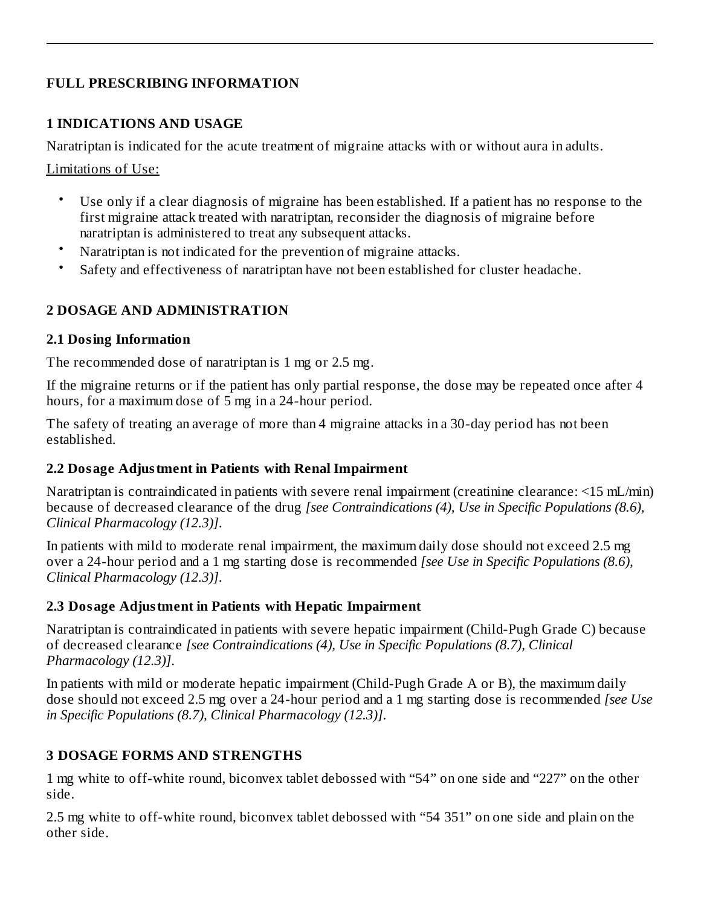#### **FULL PRESCRIBING INFORMATION**

#### **1 INDICATIONS AND USAGE**

Naratriptan is indicated for the acute treatment of migraine attacks with or without aura in adults.

Limitations of Use:

- Use only if a clear diagnosis of migraine has been established. If a patient has no response to the first migraine attack treated with naratriptan, reconsider the diagnosis of migraine before naratriptan is administered to treat any subsequent attacks.
- Naratriptan is not indicated for the prevention of migraine attacks.
- Safety and effectiveness of naratriptan have not been established for cluster headache.

### **2 DOSAGE AND ADMINISTRATION**

#### **2.1 Dosing Information**

The recommended dose of naratriptan is 1 mg or 2.5 mg.

If the migraine returns or if the patient has only partial response, the dose may be repeated once after 4 hours, for a maximum dose of 5 mg in a 24-hour period.

The safety of treating an average of more than 4 migraine attacks in a 30-day period has not been established.

#### **2.2 Dosage Adjustment in Patients with Renal Impairment**

Naratriptan is contraindicated in patients with severe renal impairment (creatinine clearance: <15 mL/min) because of decreased clearance of the drug *[see Contraindications (4), Use in Specific Populations (8.6), Clinical Pharmacology (12.3)]*.

In patients with mild to moderate renal impairment, the maximum daily dose should not exceed 2.5 mg over a 24-hour period and a 1 mg starting dose is recommended *[see Use in Specific Populations (8.6), Clinical Pharmacology (12.3)]*.

### **2.3 Dosage Adjustment in Patients with Hepatic Impairment**

Naratriptan is contraindicated in patients with severe hepatic impairment (Child-Pugh Grade C) because of decreased clearance *[see Contraindications (4), Use in Specific Populations (8.7), Clinical Pharmacology (12.3)]*.

In patients with mild or moderate hepatic impairment (Child-Pugh Grade A or B), the maximum daily dose should not exceed 2.5 mg over a 24-hour period and a 1 mg starting dose is recommended *[see Use in Specific Populations (8.7), Clinical Pharmacology (12.3)]*.

# **3 DOSAGE FORMS AND STRENGTHS**

1 mg white to off-white round, biconvex tablet debossed with "54" on one side and "227" on the other side.

2.5 mg white to off-white round, biconvex tablet debossed with "54 351" on one side and plain on the other side.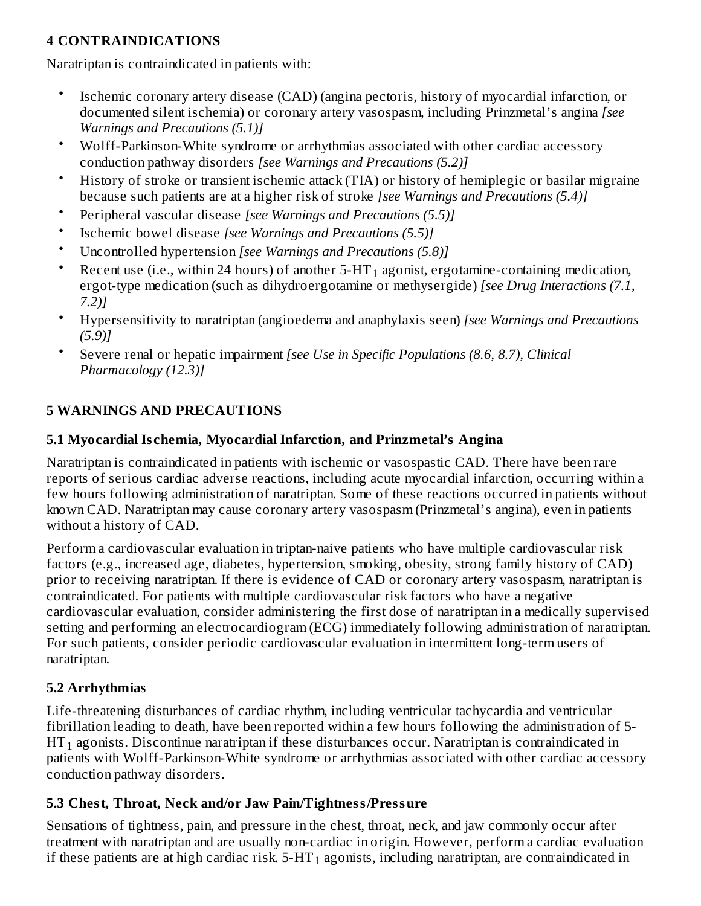### **4 CONTRAINDICATIONS**

Naratriptan is contraindicated in patients with:

- Ischemic coronary artery disease (CAD) (angina pectoris, history of myocardial infarction, or documented silent ischemia) or coronary artery vasospasm, including Prinzmetal's angina *[see Warnings and Precautions (5.1)]*
- Wolff-Parkinson-White syndrome or arrhythmias associated with other cardiac accessory conduction pathway disorders *[see Warnings and Precautions (5.2)]*
- History of stroke or transient ischemic attack (TIA) or history of hemiplegic or basilar migraine because such patients are at a higher risk of stroke *[see Warnings and Precautions (5.4)]*
- Peripheral vascular disease *[see Warnings and Precautions (5.5)]*
- Ischemic bowel disease *[see Warnings and Precautions (5.5)]*
- Uncontrolled hypertension *[see Warnings and Precautions (5.8)]*
- Recent use (i.e., within 24 hours) of another 5-HT $_{\rm 1}$  agonist, ergotamine-containing medication, ergot-type medication (such as dihydroergotamine or methysergide) *[see Drug Interactions (7.1, 7.2)]*
- Hypersensitivity to naratriptan (angioedema and anaphylaxis seen) *[see Warnings and Precautions (5.9)]*
- Severe renal or hepatic impairment *[see Use in Specific Populations (8.6, 8.7), Clinical Pharmacology (12.3)]*

### **5 WARNINGS AND PRECAUTIONS**

#### **5.1 Myocardial Is chemia, Myocardial Infarction, and Prinzmetal's Angina**

Naratriptan is contraindicated in patients with ischemic or vasospastic CAD. There have been rare reports of serious cardiac adverse reactions, including acute myocardial infarction, occurring within a few hours following administration of naratriptan. Some of these reactions occurred in patients without known CAD. Naratriptan may cause coronary artery vasospasm (Prinzmetal's angina), even in patients without a history of CAD.

Perform a cardiovascular evaluation in triptan-naive patients who have multiple cardiovascular risk factors (e.g., increased age, diabetes, hypertension, smoking, obesity, strong family history of CAD) prior to receiving naratriptan. If there is evidence of CAD or coronary artery vasospasm, naratriptan is contraindicated. For patients with multiple cardiovascular risk factors who have a negative cardiovascular evaluation, consider administering the first dose of naratriptan in a medically supervised setting and performing an electrocardiogram (ECG) immediately following administration of naratriptan. For such patients, consider periodic cardiovascular evaluation in intermittent long-term users of naratriptan.

#### **5.2 Arrhythmias**

Life-threatening disturbances of cardiac rhythm, including ventricular tachycardia and ventricular fibrillation leading to death, have been reported within a few hours following the administration of 5-  $\operatorname{HT}_1$  agonists. Discontinue naratriptan if these disturbances occur. Naratriptan is contraindicated in patients with Wolff-Parkinson-White syndrome or arrhythmias associated with other cardiac accessory conduction pathway disorders.

### **5.3 Chest, Throat, Neck and/or Jaw Pain/Tightness/Pressure**

Sensations of tightness, pain, and pressure in the chest, throat, neck, and jaw commonly occur after treatment with naratriptan and are usually non-cardiac in origin. However, perform a cardiac evaluation if these patients are at high cardiac risk.  $5\text{-}HT_1$  agonists, including naratriptan, are contraindicated in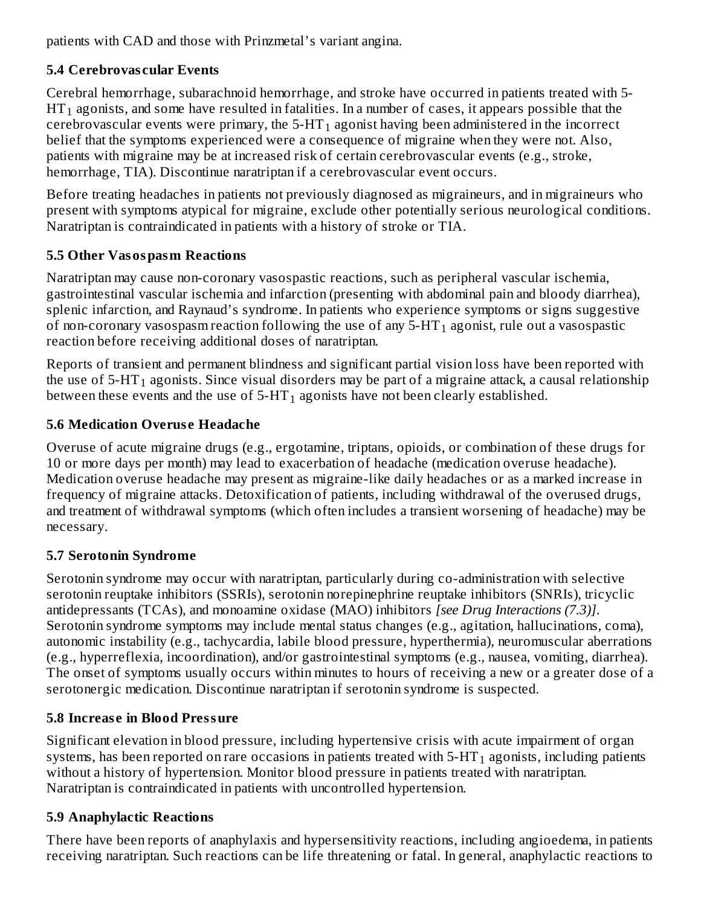patients with CAD and those with Prinzmetal's variant angina.  $\overline{a}$ 

# **5.4 Cerebrovas cular Events**

Cerebral hemorrhage, subarachnoid hemorrhage, and stroke have occurred in patients treated with 5-  $\operatorname{HT}_1$  agonists, and some have resulted in fatalities. In a number of cases, it appears possible that the cerebrovascular events were primary, the 5-HT $_{\rm 1}$  agonist having been administered in the incorrect belief that the symptoms experienced were a consequence of migraine when they were not. Also, patients with migraine may be at increased risk of certain cerebrovascular events (e.g., stroke, hemorrhage, TIA). Discontinue naratriptan if a cerebrovascular event occurs.

Before treating headaches in patients not previously diagnosed as migraineurs, and in migraineurs who present with symptoms atypical for migraine, exclude other potentially serious neurological conditions. Naratriptan is contraindicated in patients with a history of stroke or TIA.

# **5.5 Other Vasospasm Reactions**

Naratriptan may cause non-coronary vasospastic reactions, such as peripheral vascular ischemia, gastrointestinal vascular ischemia and infarction (presenting with abdominal pain and bloody diarrhea), splenic infarction, and Raynaud's syndrome. In patients who experience symptoms or signs suggestive of non-coronary vasospasm reaction following the use of any 5-HT $_{\rm 1}$  agonist, rule out a vasospastic reaction before receiving additional doses of naratriptan.

Reports of transient and permanent blindness and significant partial vision loss have been reported with the use of 5-HT $_{\rm 1}$  agonists. Since visual disorders may be part of a migraine attack, a causal relationship between these events and the use of 5-HT $_{\rm 1}$  agonists have not been clearly established.

# **5.6 Medication Overus e Headache**

Overuse of acute migraine drugs (e.g., ergotamine, triptans, opioids, or combination of these drugs for 10 or more days per month) may lead to exacerbation of headache (medication overuse headache). Medication overuse headache may present as migraine-like daily headaches or as a marked increase in frequency of migraine attacks. Detoxification of patients, including withdrawal of the overused drugs, and treatment of withdrawal symptoms (which often includes a transient worsening of headache) may be necessary.

# **5.7 Serotonin Syndrome**

Serotonin syndrome may occur with naratriptan, particularly during co-administration with selective serotonin reuptake inhibitors (SSRIs), serotonin norepinephrine reuptake inhibitors (SNRIs), tricyclic antidepressants (TCAs), and monoamine oxidase (MAO) inhibitors *[see Drug Interactions (7.3)]*. Serotonin syndrome symptoms may include mental status changes (e.g., agitation, hallucinations, coma), autonomic instability (e.g., tachycardia, labile blood pressure, hyperthermia), neuromuscular aberrations (e.g., hyperreflexia, incoordination), and/or gastrointestinal symptoms (e.g., nausea, vomiting, diarrhea). The onset of symptoms usually occurs within minutes to hours of receiving a new or a greater dose of a serotonergic medication. Discontinue naratriptan if serotonin syndrome is suspected.

# **5.8 Increas e in Blood Pressure**

Significant elevation in blood pressure, including hypertensive crisis with acute impairment of organ systems, has been reported on rare occasions in patients treated with 5-HT $_{\rm 1}$  agonists, including patients without a history of hypertension. Monitor blood pressure in patients treated with naratriptan. Naratriptan is contraindicated in patients with uncontrolled hypertension.

# **5.9 Anaphylactic Reactions**

There have been reports of anaphylaxis and hypersensitivity reactions, including angioedema, in patients receiving naratriptan. Such reactions can be life threatening or fatal. In general, anaphylactic reactions to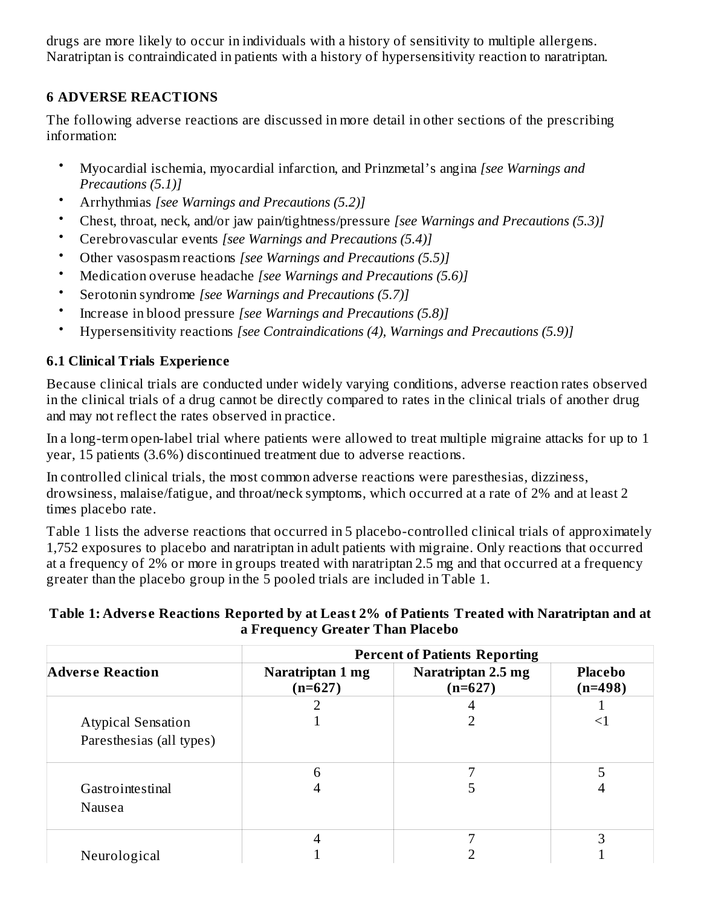drugs are more likely to occur in individuals with a history of sensitivity to multiple allergens. Naratriptan is contraindicated in patients with a history of hypersensitivity reaction to naratriptan.

## **6 ADVERSE REACTIONS**

The following adverse reactions are discussed in more detail in other sections of the prescribing information:

- Myocardial ischemia, myocardial infarction, and Prinzmetal's angina *[see Warnings and Precautions (5.1)]*
- Arrhythmias *[see Warnings and Precautions (5.2)]*
- Chest, throat, neck, and/or jaw pain/tightness/pressure *[see Warnings and Precautions (5.3)]*
- Cerebrovascular events *[see Warnings and Precautions (5.4)]*
- Other vasospasm reactions *[see Warnings and Precautions (5.5)]*
- Medication overuse headache *[see Warnings and Precautions (5.6)]*
- Serotonin syndrome *[see Warnings and Precautions (5.7)]*
- Increase in blood pressure *[see Warnings and Precautions (5.8)]*
- Hypersensitivity reactions *[see Contraindications (4), Warnings and Precautions (5.9)]*

# **6.1 Clinical Trials Experience**

Because clinical trials are conducted under widely varying conditions, adverse reaction rates observed in the clinical trials of a drug cannot be directly compared to rates in the clinical trials of another drug and may not reflect the rates observed in practice.

In a long-term open-label trial where patients were allowed to treat multiple migraine attacks for up to 1 year, 15 patients (3.6%) discontinued treatment due to adverse reactions.

In controlled clinical trials, the most common adverse reactions were paresthesias, dizziness, drowsiness, malaise/fatigue, and throat/neck symptoms, which occurred at a rate of 2% and at least 2 times placebo rate.

Table 1 lists the adverse reactions that occurred in 5 placebo-controlled clinical trials of approximately 1,752 exposures to placebo and naratriptan in adult patients with migraine. Only reactions that occurred at a frequency of 2% or more in groups treated with naratriptan 2.5 mg and that occurred at a frequency greater than the placebo group in the 5 pooled trials are included in Table 1.

#### **Table 1: Advers e Reactions Reported by at Least 2% of Patients Treated with Naratriptan and at a Frequency Greater Than Placebo**

|                                                       | <b>Percent of Patients Reporting</b> |                                 |                             |  |  |  |
|-------------------------------------------------------|--------------------------------------|---------------------------------|-----------------------------|--|--|--|
| <b>Adverse Reaction</b>                               | Naratriptan 1 mg<br>$(n=627)$        | Naratriptan 2.5 mg<br>$(n=627)$ | <b>Placebo</b><br>$(n=498)$ |  |  |  |
|                                                       |                                      |                                 |                             |  |  |  |
| <b>Atypical Sensation</b><br>Paresthesias (all types) |                                      |                                 | $\leq$                      |  |  |  |
|                                                       |                                      | ⇁                               | 5                           |  |  |  |
| Gastrointestinal<br>Nausea                            |                                      |                                 | 4                           |  |  |  |
|                                                       |                                      |                                 | 3                           |  |  |  |
| Neurological                                          |                                      |                                 |                             |  |  |  |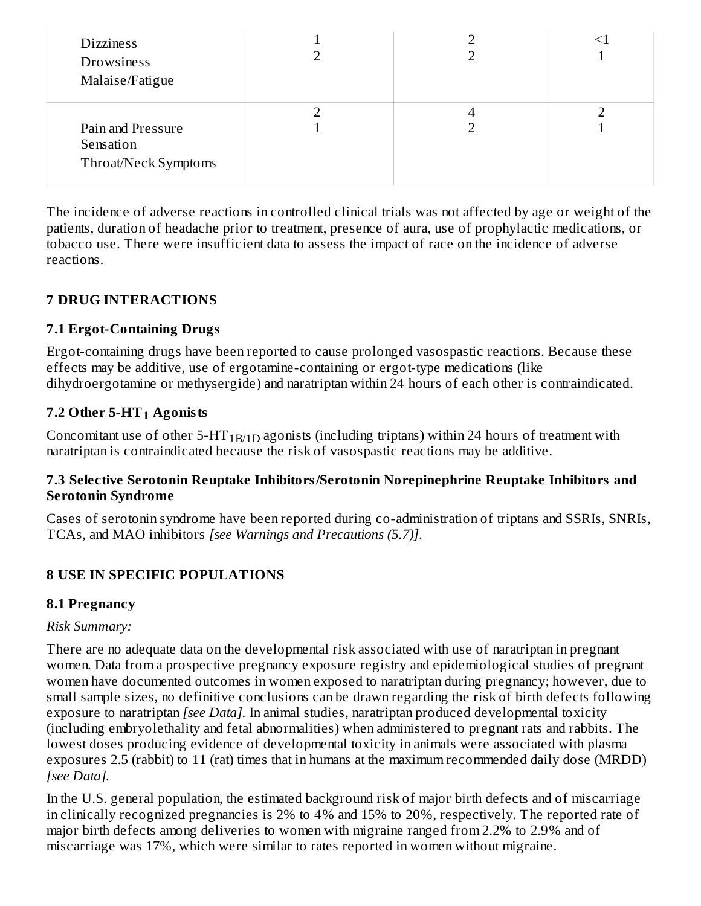| <b>Dizziness</b><br>Drowsiness<br>Malaise/Fatigue      |  |  |
|--------------------------------------------------------|--|--|
| Pain and Pressure<br>Sensation<br>Throat/Neck Symptoms |  |  |

The incidence of adverse reactions in controlled clinical trials was not affected by age or weight of the patients, duration of headache prior to treatment, presence of aura, use of prophylactic medications, or tobacco use. There were insufficient data to assess the impact of race on the incidence of adverse reactions.

#### **7 DRUG INTERACTIONS**

#### **7.1 Ergot-Containing Drugs**

Ergot-containing drugs have been reported to cause prolonged vasospastic reactions. Because these effects may be additive, use of ergotamine-containing or ergot-type medications (like dihydroergotamine or methysergide) and naratriptan within 24 hours of each other is contraindicated.

## **7.2 Other 5-HT Agonists 1**

Concomitant use of other 5-HT $_{\rm 1B/1D}$  agonists (including triptans) within 24 hours of treatment with naratriptan is contraindicated because the risk of vasospastic reactions may be additive.

#### **7.3 Selective Serotonin Reuptake Inhibitors/Serotonin Norepinephrine Reuptake Inhibitors and Serotonin Syndrome**

Cases of serotonin syndrome have been reported during co-administration of triptans and SSRIs, SNRIs, TCAs, and MAO inhibitors *[see Warnings and Precautions (5.7)]*.

### **8 USE IN SPECIFIC POPULATIONS**

#### **8.1 Pregnancy**

#### *Risk Summary:*

There are no adequate data on the developmental risk associated with use of naratriptan in pregnant women. Data from a prospective pregnancy exposure registry and epidemiological studies of pregnant women have documented outcomes in women exposed to naratriptan during pregnancy; however, due to small sample sizes, no definitive conclusions can be drawn regarding the risk of birth defects following exposure to naratriptan *[see Data].* In animal studies, naratriptan produced developmental toxicity (including embryolethality and fetal abnormalities) when administered to pregnant rats and rabbits. The lowest doses producing evidence of developmental toxicity in animals were associated with plasma exposures 2.5 (rabbit) to 11 (rat) times that in humans at the maximum recommended daily dose (MRDD) *[see Data].*

In the U.S. general population, the estimated background risk of major birth defects and of miscarriage in clinically recognized pregnancies is 2% to 4% and 15% to 20%, respectively. The reported rate of major birth defects among deliveries to women with migraine ranged from 2.2% to 2.9% and of miscarriage was 17%, which were similar to rates reported in women without migraine.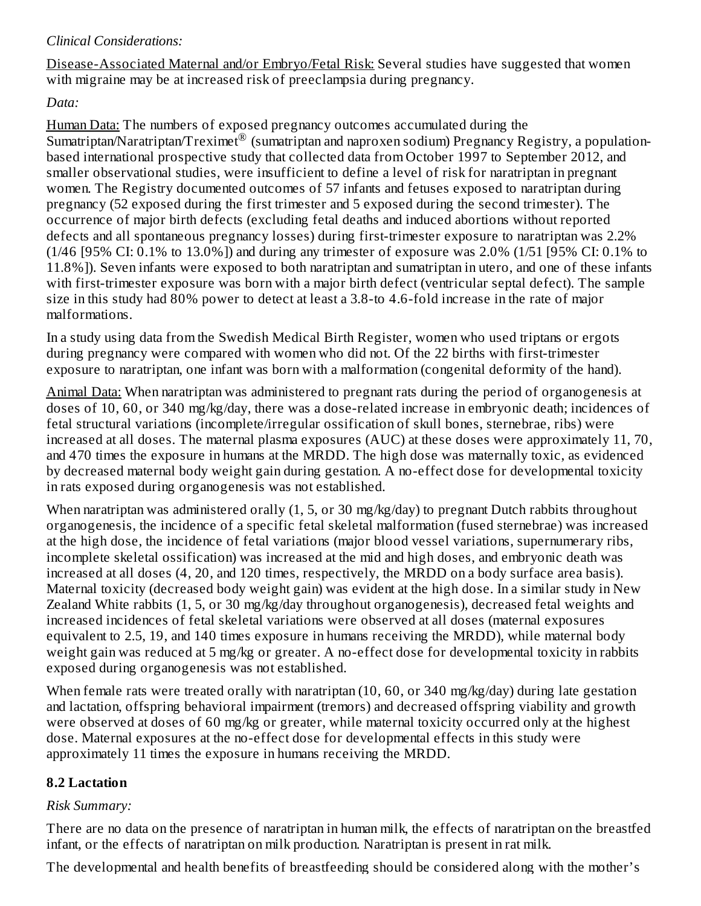#### *Clinical Considerations:*

Disease-Associated Maternal and/or Embryo/Fetal Risk: Several studies have suggested that women with migraine may be at increased risk of preeclampsia during pregnancy.

#### *Data:*

Human Data: The numbers of exposed pregnancy outcomes accumulated during the Sumatriptan/Naratriptan/Treximet<sup>®</sup> (sumatriptan and naproxen sodium) Pregnancy Registry, a populationbased international prospective study that collected data from October 1997 to September 2012, and smaller observational studies, were insufficient to define a level of risk for naratriptan in pregnant women. The Registry documented outcomes of 57 infants and fetuses exposed to naratriptan during pregnancy (52 exposed during the first trimester and 5 exposed during the second trimester). The occurrence of major birth defects (excluding fetal deaths and induced abortions without reported defects and all spontaneous pregnancy losses) during first-trimester exposure to naratriptan was 2.2% (1/46 [95% CI: 0.1% to 13.0%]) and during any trimester of exposure was 2.0% (1/51 [95% CI: 0.1% to 11.8%]). Seven infants were exposed to both naratriptan and sumatriptan in utero, and one of these infants with first-trimester exposure was born with a major birth defect (ventricular septal defect). The sample size in this study had 80% power to detect at least a 3.8-to 4.6-fold increase in the rate of major malformations.

In a study using data from the Swedish Medical Birth Register, women who used triptans or ergots during pregnancy were compared with women who did not. Of the 22 births with first-trimester exposure to naratriptan, one infant was born with a malformation (congenital deformity of the hand).

Animal Data: When naratriptan was administered to pregnant rats during the period of organogenesis at doses of 10, 60, or 340 mg/kg/day, there was a dose-related increase in embryonic death; incidences of fetal structural variations (incomplete/irregular ossification of skull bones, sternebrae, ribs) were increased at all doses. The maternal plasma exposures (AUC) at these doses were approximately 11, 70, and 470 times the exposure in humans at the MRDD. The high dose was maternally toxic, as evidenced by decreased maternal body weight gain during gestation. A no-effect dose for developmental toxicity in rats exposed during organogenesis was not established.

When naratriptan was administered orally (1, 5, or 30 mg/kg/day) to pregnant Dutch rabbits throughout organogenesis, the incidence of a specific fetal skeletal malformation (fused sternebrae) was increased at the high dose, the incidence of fetal variations (major blood vessel variations, supernumerary ribs, incomplete skeletal ossification) was increased at the mid and high doses, and embryonic death was increased at all doses (4, 20, and 120 times, respectively, the MRDD on a body surface area basis). Maternal toxicity (decreased body weight gain) was evident at the high dose. In a similar study in New Zealand White rabbits (1, 5, or 30 mg/kg/day throughout organogenesis), decreased fetal weights and increased incidences of fetal skeletal variations were observed at all doses (maternal exposures equivalent to 2.5, 19, and 140 times exposure in humans receiving the MRDD), while maternal body weight gain was reduced at 5 mg/kg or greater. A no-effect dose for developmental toxicity in rabbits exposed during organogenesis was not established.

When female rats were treated orally with naratriptan (10, 60, or 340 mg/kg/day) during late gestation and lactation, offspring behavioral impairment (tremors) and decreased offspring viability and growth were observed at doses of 60 mg/kg or greater, while maternal toxicity occurred only at the highest dose. Maternal exposures at the no-effect dose for developmental effects in this study were approximately 11 times the exposure in humans receiving the MRDD.

### **8.2 Lactation**

#### *Risk Summary:*

There are no data on the presence of naratriptan in human milk, the effects of naratriptan on the breastfed infant, or the effects of naratriptan on milk production. Naratriptan is present in rat milk.

The developmental and health benefits of breastfeeding should be considered along with the mother's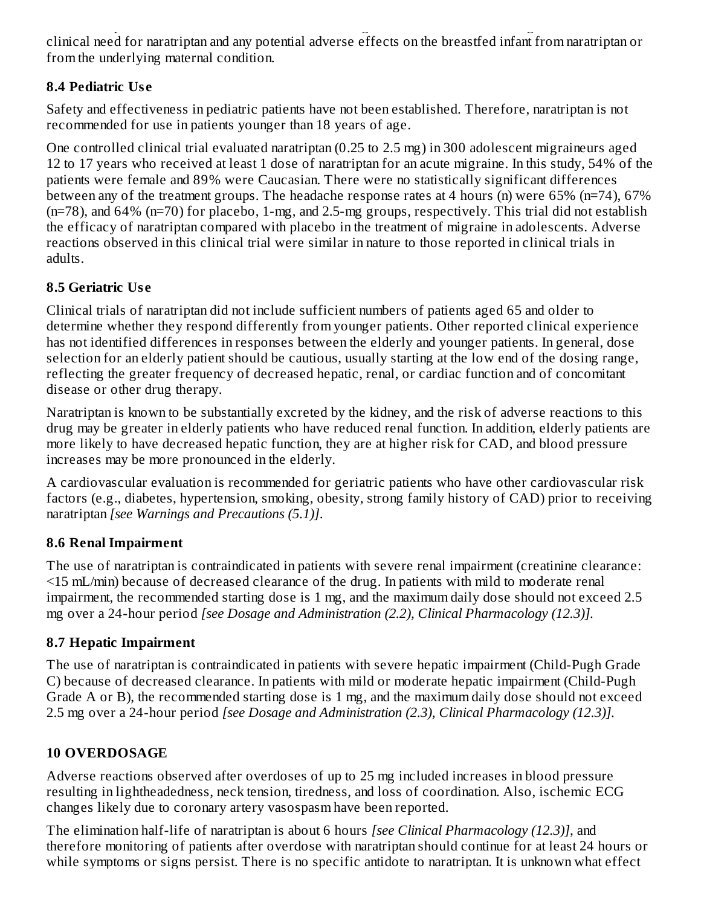The developmental and health benefits of breastfeeding should be considered along with the mother's clinical need for naratriptan and any potential adverse effects on the breastfed infant from naratriptan or from the underlying maternal condition.

## **8.4 Pediatric Us e**

Safety and effectiveness in pediatric patients have not been established. Therefore, naratriptan is not recommended for use in patients younger than 18 years of age.

One controlled clinical trial evaluated naratriptan (0.25 to 2.5 mg) in 300 adolescent migraineurs aged 12 to 17 years who received at least 1 dose of naratriptan for an acute migraine. In this study, 54% of the patients were female and 89% were Caucasian. There were no statistically significant differences between any of the treatment groups. The headache response rates at 4 hours (n) were 65% (n=74), 67% (n=78), and 64% (n=70) for placebo, 1-mg, and 2.5-mg groups, respectively. This trial did not establish the efficacy of naratriptan compared with placebo in the treatment of migraine in adolescents. Adverse reactions observed in this clinical trial were similar in nature to those reported in clinical trials in adults.

# **8.5 Geriatric Us e**

Clinical trials of naratriptan did not include sufficient numbers of patients aged 65 and older to determine whether they respond differently from younger patients. Other reported clinical experience has not identified differences in responses between the elderly and younger patients. In general, dose selection for an elderly patient should be cautious, usually starting at the low end of the dosing range, reflecting the greater frequency of decreased hepatic, renal, or cardiac function and of concomitant disease or other drug therapy.

Naratriptan is known to be substantially excreted by the kidney, and the risk of adverse reactions to this drug may be greater in elderly patients who have reduced renal function. In addition, elderly patients are more likely to have decreased hepatic function, they are at higher risk for CAD, and blood pressure increases may be more pronounced in the elderly.

A cardiovascular evaluation is recommended for geriatric patients who have other cardiovascular risk factors (e.g., diabetes, hypertension, smoking, obesity, strong family history of CAD) prior to receiving naratriptan *[see Warnings and Precautions (5.1)]*.

# **8.6 Renal Impairment**

The use of naratriptan is contraindicated in patients with severe renal impairment (creatinine clearance: <15 mL/min) because of decreased clearance of the drug. In patients with mild to moderate renal impairment, the recommended starting dose is 1 mg, and the maximum daily dose should not exceed 2.5 mg over a 24-hour period *[see Dosage and Administration (2.2), Clinical Pharmacology (12.3)].*

# **8.7 Hepatic Impairment**

The use of naratriptan is contraindicated in patients with severe hepatic impairment (Child-Pugh Grade C) because of decreased clearance. In patients with mild or moderate hepatic impairment (Child-Pugh Grade A or B), the recommended starting dose is 1 mg, and the maximum daily dose should not exceed 2.5 mg over a 24-hour period *[see Dosage and Administration (2.3), Clinical Pharmacology (12.3)].*

# **10 OVERDOSAGE**

Adverse reactions observed after overdoses of up to 25 mg included increases in blood pressure resulting in lightheadedness, neck tension, tiredness, and loss of coordination. Also, ischemic ECG changes likely due to coronary artery vasospasm have been reported.

The elimination half-life of naratriptan is about 6 hours *[see Clinical Pharmacology (12.3)]*, and therefore monitoring of patients after overdose with naratriptan should continue for at least 24 hours or while symptoms or signs persist. There is no specific antidote to naratriptan. It is unknown what effect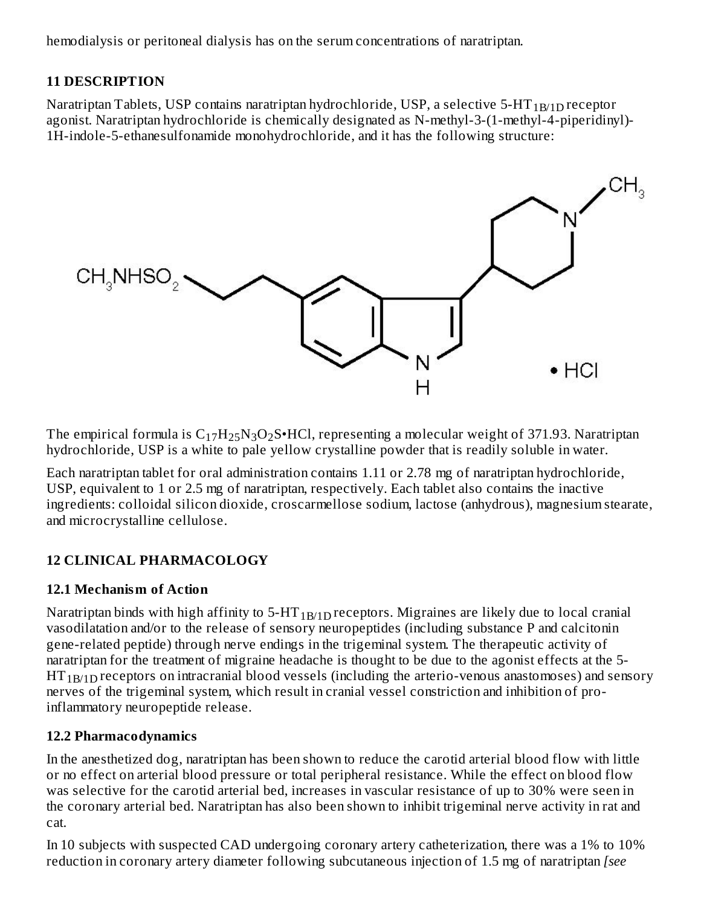hemodialysis or peritoneal dialysis has on the serum concentrations of naratriptan.

#### **11 DESCRIPTION**

Naratriptan Tablets, USP contains naratriptan hydrochloride, USP, a selective 5-HT  $_{\rm 1B/1D}$  receptor agonist. Naratriptan hydrochloride is chemically designated as N-methyl-3-(1-methyl-4-piperidinyl)- 1H-indole-5-ethanesulfonamide monohydrochloride, and it has the following structure:



The empirical formula is  $\rm{C_{17}H_{25}N_3O_2S^{\bullet}HCl}$ , representing a molecular weight of 371.93. Naratriptan hydrochloride, USP is a white to pale yellow crystalline powder that is readily soluble in water*.*

Each naratriptan tablet for oral administration contains 1.11 or 2.78 mg of naratriptan hydrochloride, USP, equivalent to 1 or 2.5 mg of naratriptan, respectively. Each tablet also contains the inactive ingredients: colloidal silicon dioxide, croscarmellose sodium, lactose (anhydrous), magnesium stearate, and microcrystalline cellulose.

### **12 CLINICAL PHARMACOLOGY**

#### **12.1 Mechanism of Action**

Naratriptan binds with high affinity to 5-HT $_{\rm 1B/1D}$ receptors. Migraines are likely due to local cranial vasodilatation and/or to the release of sensory neuropeptides (including substance P and calcitonin gene-related peptide) through nerve endings in the trigeminal system. The therapeutic activity of naratriptan for the treatment of migraine headache is thought to be due to the agonist effects at the 5-  $\mathrm{HT_{1B/1D}}$  receptors on intracranial blood vessels (including the arterio-venous anastomoses) and sensory nerves of the trigeminal system, which result in cranial vessel constriction and inhibition of proinflammatory neuropeptide release.

### **12.2 Pharmacodynamics**

In the anesthetized dog, naratriptan has been shown to reduce the carotid arterial blood flow with little or no effect on arterial blood pressure or total peripheral resistance. While the effect on blood flow was selective for the carotid arterial bed, increases in vascular resistance of up to 30% were seen in the coronary arterial bed. Naratriptan has also been shown to inhibit trigeminal nerve activity in rat and cat.

In 10 subjects with suspected CAD undergoing coronary artery catheterization, there was a 1% to 10% reduction in coronary artery diameter following subcutaneous injection of 1.5 mg of naratriptan *[see*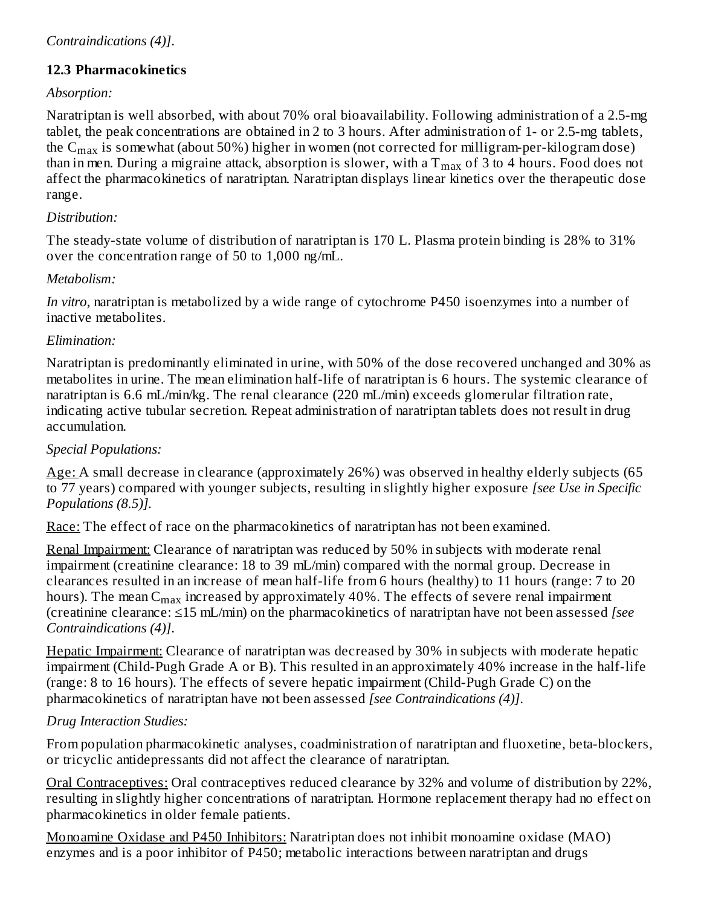#### **12.3 Pharmacokinetics**

#### *Absorption:*

Naratriptan is well absorbed, with about 70% oral bioavailability. Following administration of a 2.5-mg tablet, the peak concentrations are obtained in 2 to 3 hours. After administration of 1- or 2.5-mg tablets, the C $_{\rm max}$  is somewhat (about 50%) higher in women (not corrected for milligram-per-kilogram dose) than in men. During a migraine attack, absorption is slower, with a  $\rm T_{max}$  of 3 to 4 hours. Food does not affect the pharmacokinetics of naratriptan. Naratriptan displays linear kinetics over the therapeutic dose range.

#### *Distribution:*

The steady-state volume of distribution of naratriptan is 170 L. Plasma protein binding is 28% to 31% over the concentration range of 50 to 1,000 ng/mL.

#### *Metabolism:*

*In vitro*, naratriptan is metabolized by a wide range of cytochrome P450 isoenzymes into a number of inactive metabolites.

#### *Elimination:*

Naratriptan is predominantly eliminated in urine, with 50% of the dose recovered unchanged and 30% as metabolites in urine. The mean elimination half-life of naratriptan is 6 hours. The systemic clearance of naratriptan is 6.6 mL/min/kg. The renal clearance (220 mL/min) exceeds glomerular filtration rate, indicating active tubular secretion. Repeat administration of naratriptan tablets does not result in drug accumulation.

#### *Special Populations:*

Age: A small decrease in clearance (approximately 26%) was observed in healthy elderly subjects (65 to 77 years) compared with younger subjects, resulting in slightly higher exposure *[see Use in Specific Populations (8.5)].*

Race: The effect of race on the pharmacokinetics of naratriptan has not been examined.

Renal Impairment: Clearance of naratriptan was reduced by 50% in subjects with moderate renal impairment (creatinine clearance: 18 to 39 mL/min) compared with the normal group. Decrease in clearances resulted in an increase of mean half-life from 6 hours (healthy) to 11 hours (range: 7 to 20 hours). The mean  $\mathsf{C}_{\max}$  increased by approximately 40%. The effects of severe renal impairment (creatinine clearance: ≤15 mL/min) on the pharmacokinetics of naratriptan have not been assessed *[see Contraindications (4)]*.

Hepatic Impairment: Clearance of naratriptan was decreased by 30% in subjects with moderate hepatic impairment (Child-Pugh Grade A or B). This resulted in an approximately 40% increase in the half-life (range: 8 to 16 hours). The effects of severe hepatic impairment (Child-Pugh Grade C) on the pharmacokinetics of naratriptan have not been assessed *[see Contraindications (4)]*.

### *Drug Interaction Studies:*

From population pharmacokinetic analyses, coadministration of naratriptan and fluoxetine, beta-blockers, or tricyclic antidepressants did not affect the clearance of naratriptan.

Oral Contraceptives: Oral contraceptives reduced clearance by 32% and volume of distribution by 22%, resulting in slightly higher concentrations of naratriptan. Hormone replacement therapy had no effect on pharmacokinetics in older female patients.

Monoamine Oxidase and P450 Inhibitors: Naratriptan does not inhibit monoamine oxidase (MAO) enzymes and is a poor inhibitor of P450; metabolic interactions between naratriptan and drugs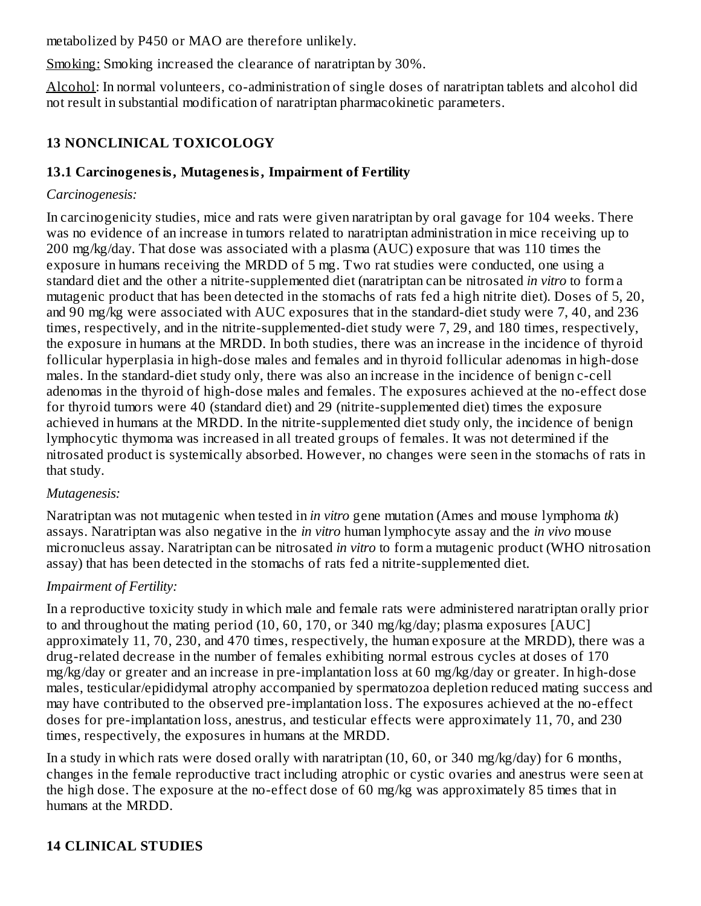metabolized by P450 or MAO are therefore unlikely.

Smoking: Smoking increased the clearance of naratriptan by 30%.

Alcohol: In normal volunteers, co-administration of single doses of naratriptan tablets and alcohol did not result in substantial modification of naratriptan pharmacokinetic parameters.

### **13 NONCLINICAL TOXICOLOGY**

#### **13.1 Carcinogenesis, Mutagenesis, Impairment of Fertility**

#### *Carcinogenesis:*

In carcinogenicity studies, mice and rats were given naratriptan by oral gavage for 104 weeks. There was no evidence of an increase in tumors related to naratriptan administration in mice receiving up to 200 mg/kg/day. That dose was associated with a plasma (AUC) exposure that was 110 times the exposure in humans receiving the MRDD of 5 mg. Two rat studies were conducted, one using a standard diet and the other a nitrite-supplemented diet (naratriptan can be nitrosated *in vitro* to form a mutagenic product that has been detected in the stomachs of rats fed a high nitrite diet). Doses of 5, 20, and 90 mg/kg were associated with AUC exposures that in the standard-diet study were 7, 40, and 236 times, respectively, and in the nitrite-supplemented-diet study were 7, 29, and 180 times, respectively, the exposure in humans at the MRDD. In both studies, there was an increase in the incidence of thyroid follicular hyperplasia in high-dose males and females and in thyroid follicular adenomas in high-dose males. In the standard-diet study only, there was also an increase in the incidence of benign c-cell adenomas in the thyroid of high-dose males and females. The exposures achieved at the no-effect dose for thyroid tumors were 40 (standard diet) and 29 (nitrite-supplemented diet) times the exposure achieved in humans at the MRDD. In the nitrite-supplemented diet study only, the incidence of benign lymphocytic thymoma was increased in all treated groups of females. It was not determined if the nitrosated product is systemically absorbed. However, no changes were seen in the stomachs of rats in that study.

### *Mutagenesis:*

Naratriptan was not mutagenic when tested in *in vitro* gene mutation (Ames and mouse lymphoma *tk*) assays. Naratriptan was also negative in the *in vitro* human lymphocyte assay and the *in vivo* mouse micronucleus assay. Naratriptan can be nitrosated *in vitro* to form a mutagenic product (WHO nitrosation assay) that has been detected in the stomachs of rats fed a nitrite-supplemented diet.

### *Impairment of Fertility:*

In a reproductive toxicity study in which male and female rats were administered naratriptan orally prior to and throughout the mating period (10, 60, 170, or 340 mg/kg/day; plasma exposures [AUC] approximately 11, 70, 230, and 470 times, respectively, the human exposure at the MRDD), there was a drug-related decrease in the number of females exhibiting normal estrous cycles at doses of 170 mg/kg/day or greater and an increase in pre-implantation loss at 60 mg/kg/day or greater. In high-dose males, testicular/epididymal atrophy accompanied by spermatozoa depletion reduced mating success and may have contributed to the observed pre-implantation loss. The exposures achieved at the no-effect doses for pre-implantation loss, anestrus, and testicular effects were approximately 11, 70, and 230 times, respectively, the exposures in humans at the MRDD.

In a study in which rats were dosed orally with naratriptan (10, 60, or 340 mg/kg/day) for 6 months, changes in the female reproductive tract including atrophic or cystic ovaries and anestrus were seen at the high dose. The exposure at the no-effect dose of 60 mg/kg was approximately 85 times that in humans at the MRDD.

### **14 CLINICAL STUDIES**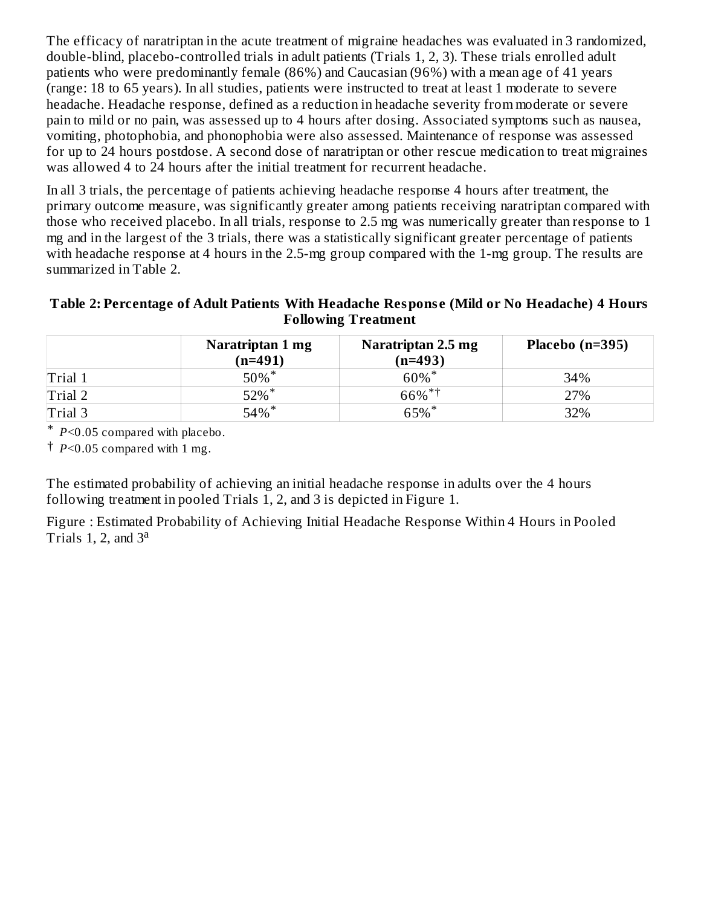The efficacy of naratriptan in the acute treatment of migraine headaches was evaluated in 3 randomized, double-blind, placebo-controlled trials in adult patients (Trials 1, 2, 3). These trials enrolled adult patients who were predominantly female (86%) and Caucasian (96%) with a mean age of 41 years (range: 18 to 65 years). In all studies, patients were instructed to treat at least 1 moderate to severe headache. Headache response, defined as a reduction in headache severity from moderate or severe pain to mild or no pain, was assessed up to 4 hours after dosing. Associated symptoms such as nausea, vomiting, photophobia, and phonophobia were also assessed. Maintenance of response was assessed for up to 24 hours postdose. A second dose of naratriptan or other rescue medication to treat migraines was allowed 4 to 24 hours after the initial treatment for recurrent headache.

In all 3 trials, the percentage of patients achieving headache response 4 hours after treatment, the primary outcome measure, was significantly greater among patients receiving naratriptan compared with those who received placebo. In all trials, response to 2.5 mg was numerically greater than response to 1 mg and in the largest of the 3 trials, there was a statistically significant greater percentage of patients with headache response at 4 hours in the 2.5-mg group compared with the 1-mg group. The results are summarized in Table 2.

#### **Table 2: Percentage of Adult Patients With Headache Respons e (Mild or No Headache) 4 Hours Following Treatment**

|         | Naratriptan 1 mg<br>$(n=491)$ | Naratriptan 2.5 mg<br>$(n=493)$ | Placebo (n=395) |
|---------|-------------------------------|---------------------------------|-----------------|
| Trial 1 | $50\%$ *                      | $60\%$ <sup>*</sup>             | 34%             |
| Trial 2 | $52\%$ *                      | $66\%$ <sup>*†</sup>            | 27%             |
| Trial 3 | $54\%$ *                      | $65\%$ <sup>*</sup>             | 32%             |

\* *P*<0.05 compared with placebo.

 $\dagger$  *P*<0.05 compared with 1 mg.

The estimated probability of achieving an initial headache response in adults over the 4 hours following treatment in pooled Trials 1, 2, and 3 is depicted in Figure 1.

Figure : Estimated Probability of Achieving Initial Headache Response Within 4 Hours in Pooled Trials 1, 2, and  $3^a$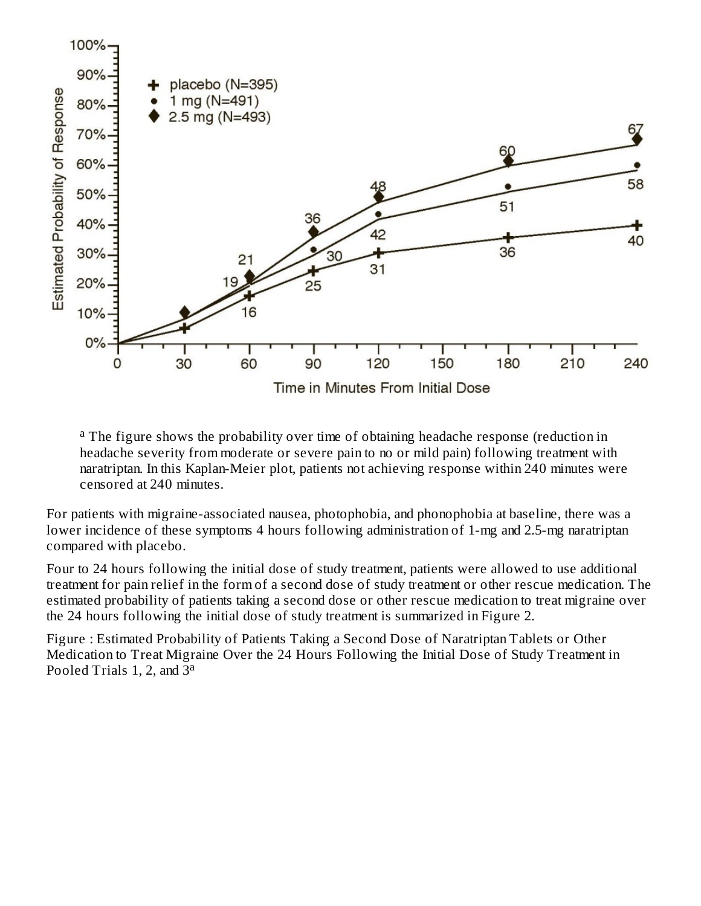

<sup>a</sup> The figure shows the probability over time of obtaining headache response (reduction in headache severity from moderate or severe pain to no or mild pain) following treatment with naratriptan. In this Kaplan-Meier plot, patients not achieving response within 240 minutes were censored at 240 minutes.

For patients with migraine-associated nausea, photophobia, and phonophobia at baseline, there was a lower incidence of these symptoms 4 hours following administration of 1-mg and 2.5-mg naratriptan compared with placebo.

Four to 24 hours following the initial dose of study treatment, patients were allowed to use additional treatment for pain relief in the form of a second dose of study treatment or other rescue medication. The estimated probability of patients taking a second dose or other rescue medication to treat migraine over the 24 hours following the initial dose of study treatment is summarized in Figure 2.

Figure : Estimated Probability of Patients Taking a Second Dose of Naratriptan Tablets or Other Medication to Treat Migraine Over the 24 Hours Following the Initial Dose of Study Treatment in Pooled Trials 1, 2, and  $\bar{3}^{\text{a}}$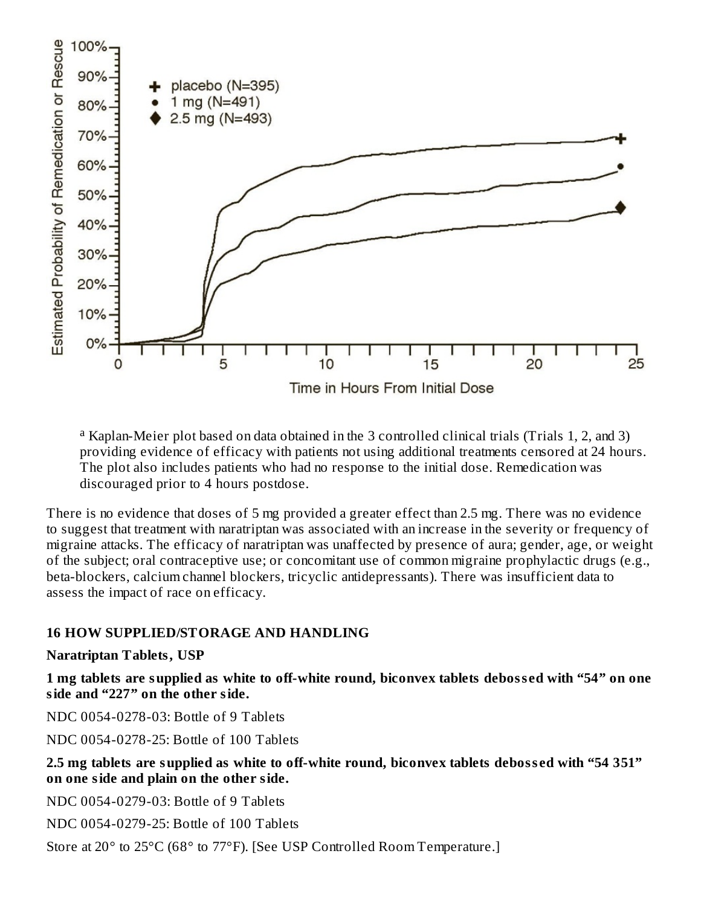

<sup>a</sup> Kaplan-Meier plot based on data obtained in the 3 controlled clinical trials (Trials 1, 2, and 3) providing evidence of efficacy with patients not using additional treatments censored at 24 hours. The plot also includes patients who had no response to the initial dose. Remedication was discouraged prior to 4 hours postdose.

There is no evidence that doses of 5 mg provided a greater effect than 2.5 mg. There was no evidence to suggest that treatment with naratriptan was associated with an increase in the severity or frequency of migraine attacks. The efficacy of naratriptan was unaffected by presence of aura; gender, age, or weight of the subject; oral contraceptive use; or concomitant use of common migraine prophylactic drugs (e.g., beta-blockers, calcium channel blockers, tricyclic antidepressants). There was insufficient data to assess the impact of race on efficacy.

#### **16 HOW SUPPLIED/STORAGE AND HANDLING**

#### **Naratriptan Tablets, USP**

**1 mg tablets are supplied as white to off-white round, biconvex tablets deboss ed with "54" on one side and "227" on the other side.**

NDC 0054-0278-03: Bottle of 9 Tablets

NDC 0054-0278-25: Bottle of 100 Tablets

#### **2.5 mg tablets are supplied as white to off-white round, biconvex tablets deboss ed with "54 351" on one side and plain on the other side.**

NDC 0054-0279-03: Bottle of 9 Tablets

NDC 0054-0279-25: Bottle of 100 Tablets

Store at 20° to 25°C (68° to 77°F). [See USP Controlled Room Temperature.]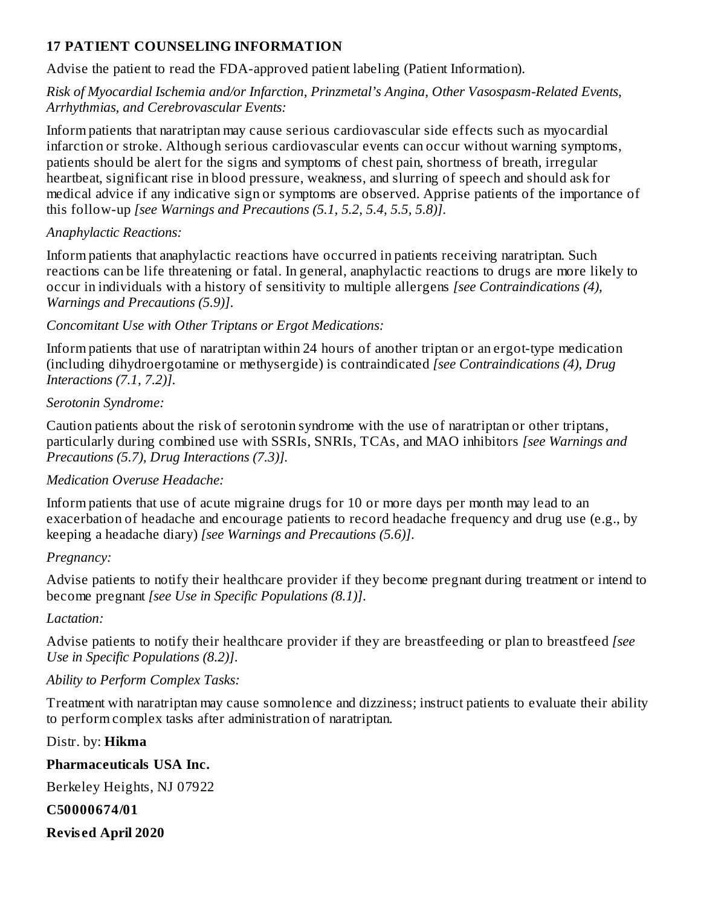#### **17 PATIENT COUNSELING INFORMATION**

Advise the patient to read the FDA-approved patient labeling (Patient Information).

## *Risk of Myocardial Ischemia and/or Infarction, Prinzmetal's Angina, Other Vasospasm-Related Events, Arrhythmias, and Cerebrovascular Events:*

Inform patients that naratriptan may cause serious cardiovascular side effects such as myocardial infarction or stroke. Although serious cardiovascular events can occur without warning symptoms, patients should be alert for the signs and symptoms of chest pain, shortness of breath, irregular heartbeat, significant rise in blood pressure, weakness, and slurring of speech and should ask for medical advice if any indicative sign or symptoms are observed. Apprise patients of the importance of this follow-up *[see Warnings and Precautions (5.1, 5.2, 5.4, 5.5, 5.8)]*.

# *Anaphylactic Reactions:*

Inform patients that anaphylactic reactions have occurred in patients receiving naratriptan. Such reactions can be life threatening or fatal. In general, anaphylactic reactions to drugs are more likely to occur in individuals with a history of sensitivity to multiple allergens *[see Contraindications (4), Warnings and Precautions (5.9)]*.

# *Concomitant Use with Other Triptans or Ergot Medications:*

Inform patients that use of naratriptan within 24 hours of another triptan or an ergot-type medication (including dihydroergotamine or methysergide) is contraindicated *[see Contraindications (4), Drug Interactions (7.1, 7.2)]*.

# *Serotonin Syndrome:*

Caution patients about the risk of serotonin syndrome with the use of naratriptan or other triptans, particularly during combined use with SSRIs, SNRIs, TCAs, and MAO inhibitors *[see Warnings and Precautions (5.7), Drug Interactions (7.3)].*

# *Medication Overuse Headache:*

Inform patients that use of acute migraine drugs for 10 or more days per month may lead to an exacerbation of headache and encourage patients to record headache frequency and drug use (e.g., by keeping a headache diary) *[see Warnings and Precautions (5.6)]*.

# *Pregnancy:*

Advise patients to notify their healthcare provider if they become pregnant during treatment or intend to become pregnant *[see Use in Specific Populations (8.1)]*.

# *Lactation:*

Advise patients to notify their healthcare provider if they are breastfeeding or plan to breastfeed *[see Use in Specific Populations (8.2)]*.

# *Ability to Perform Complex Tasks:*

Treatment with naratriptan may cause somnolence and dizziness; instruct patients to evaluate their ability to perform complex tasks after administration of naratriptan.

# Distr. by: **Hikma**

# **Pharmaceuticals USA Inc.**

Berkeley Heights, NJ 07922

# **C50000674/01**

**Revis ed April 2020**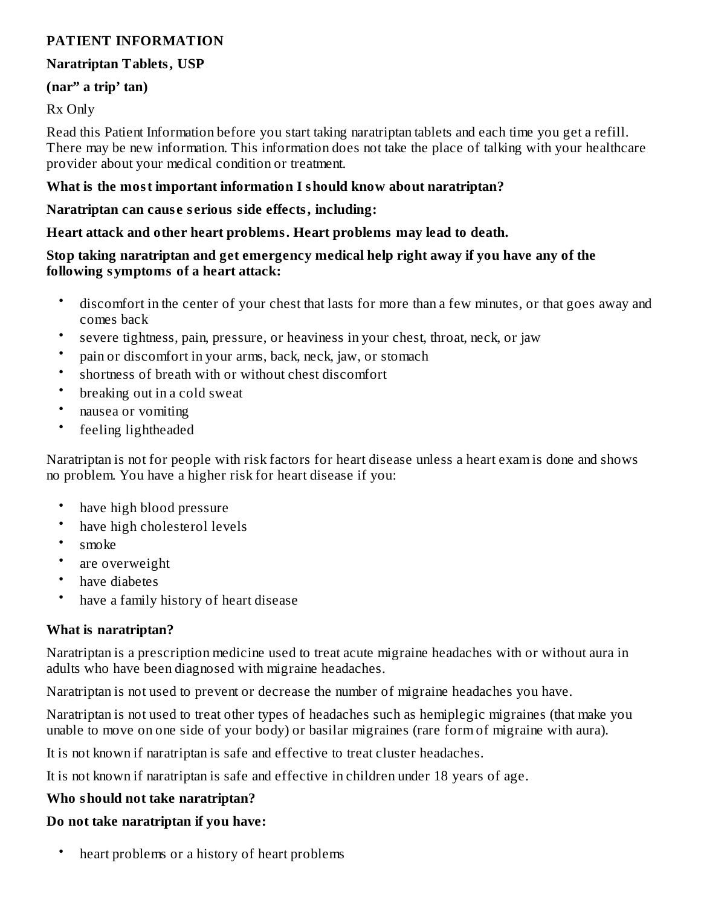#### **PATIENT INFORMATION**

#### **Naratriptan Tablets, USP**

#### **(nar" a trip' tan)**

#### Rx Only

Read this Patient Information before you start taking naratriptan tablets and each time you get a refill. There may be new information. This information does not take the place of talking with your healthcare provider about your medical condition or treatment.

#### **What is the most important information I should know about naratriptan?**

#### **Naratriptan can caus e s erious side effects, including:**

#### **Heart attack and other heart problems. Heart problems may lead to death.**

#### **Stop taking naratriptan and get emergency medical help right away if you have any of the following symptoms of a heart attack:**

- discomfort in the center of your chest that lasts for more than a few minutes, or that goes away and comes back
- severe tightness, pain, pressure, or heaviness in your chest, throat, neck, or jaw
- pain or discomfort in your arms, back, neck, jaw, or stomach
- shortness of breath with or without chest discomfort
- breaking out in a cold sweat
- nausea or vomiting
- feeling lightheaded

Naratriptan is not for people with risk factors for heart disease unless a heart exam is done and shows no problem. You have a higher risk for heart disease if you:

- have high blood pressure
- have high cholesterol levels
- smoke
- are overweight
- have diabetes
- have a family history of heart disease

#### **What is naratriptan?**

Naratriptan is a prescription medicine used to treat acute migraine headaches with or without aura in adults who have been diagnosed with migraine headaches.

Naratriptan is not used to prevent or decrease the number of migraine headaches you have.

Naratriptan is not used to treat other types of headaches such as hemiplegic migraines (that make you unable to move on one side of your body) or basilar migraines (rare form of migraine with aura).

It is not known if naratriptan is safe and effective to treat cluster headaches.

It is not known if naratriptan is safe and effective in children under 18 years of age.

#### **Who should not take naratriptan?**

#### **Do not take naratriptan if you have:**

• heart problems or a history of heart problems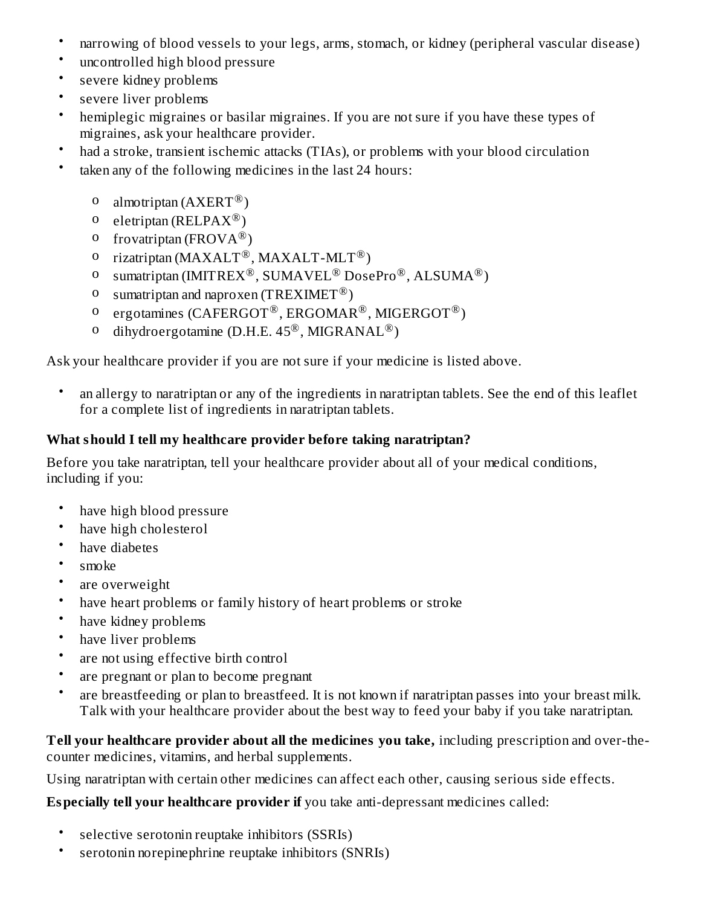- narrowing of blood vessels to your legs, arms, stomach, or kidney (peripheral vascular disease)
- uncontrolled high blood pressure
- severe kidney problems
- severe liver problems
- hemiplegic migraines or basilar migraines. If you are not sure if you have these types of migraines, ask your healthcare provider.
- had a stroke, transient ischemic attacks (TIAs), or problems with your blood circulation
- taken any of the following medicines in the last 24 hours:
	- o almotriptan  $(A X E R T^{\circledR})$
	- o eletriptan (RELPA $X^{\circledR}$ )
	- o frovatriptan (FROV $A^{\circledR}$ )
	- o rizatriptan (MAXALT<sup>®</sup>, MAXALT-MLT<sup>®</sup>)
	- o sumatriptan (IMITREX<sup>®</sup>, SUMAVEL<sup>®</sup> DosePro<sup>®</sup>, ALSUMA<sup>®</sup>)
	- o sumatriptan and naproxen (TREXIMET<sup>®</sup>)
	- o ergotamines (CAFERGOT<sup>®</sup>, ERGOMAR<sup>®</sup>, MIGERGOT<sup>®</sup>)
	- o dihydroergotamine (D.H.E.  $45^{\circledR}$ , MIGRANAL<sup>®</sup>)

Ask your healthcare provider if you are not sure if your medicine is listed above.

• an allergy to naratriptan or any of the ingredients in naratriptan tablets. See the end of this leaflet for a complete list of ingredients in naratriptan tablets.

#### **What should I tell my healthcare provider before taking naratriptan?**

Before you take naratriptan, tell your healthcare provider about all of your medical conditions, including if you:

- have high blood pressure
- have high cholesterol
- have diabetes
- smoke
- are overweight
- have heart problems or family history of heart problems or stroke
- have kidney problems
- have liver problems
- are not using effective birth control
- are pregnant or plan to become pregnant
- are breastfeeding or plan to breastfeed. It is not known if naratriptan passes into your breast milk. Talk with your healthcare provider about the best way to feed your baby if you take naratriptan.

**Tell your healthcare provider about all the medicines you take,** including prescription and over-thecounter medicines, vitamins, and herbal supplements.

Using naratriptan with certain other medicines can affect each other, causing serious side effects.

**Especially tell your healthcare provider if** you take anti-depressant medicines called:

- selective serotonin reuptake inhibitors (SSRIs)
- serotonin norepinephrine reuptake inhibitors (SNRIs)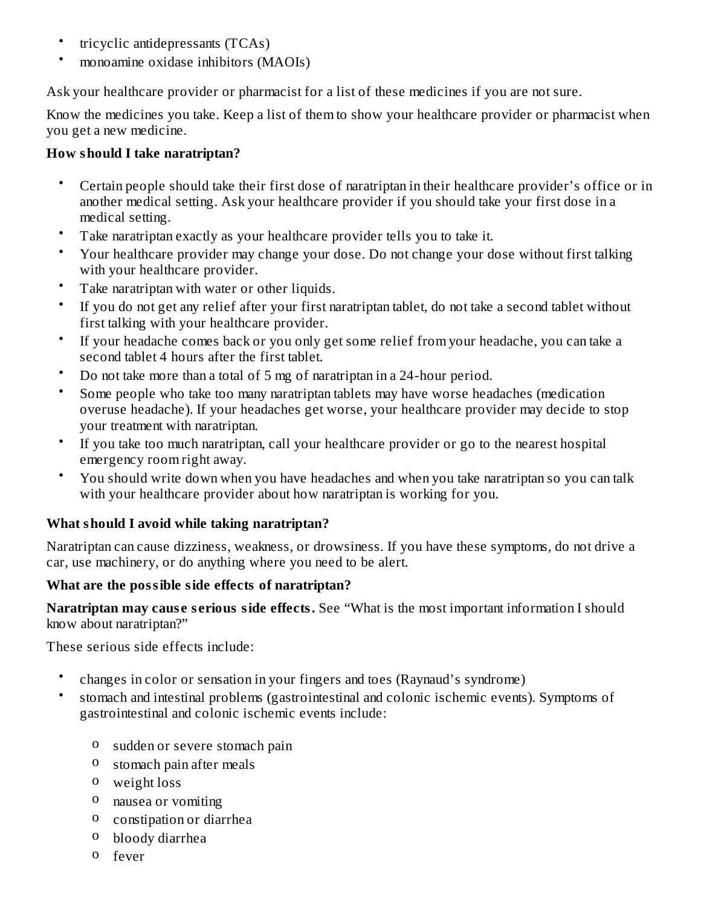- tricyclic antidepressants (TCAs)
- monoamine oxidase inhibitors (MAOIs)

Ask your healthcare provider or pharmacist for a list of these medicines if you are not sure.

Know the medicines you take. Keep a list of them to show your healthcare provider or pharmacist when you get a new medicine.

## **How should I take naratriptan?**

- Certain people should take their first dose of naratriptan in their healthcare provider's office or in another medical setting. Ask your healthcare provider if you should take your first dose in a medical setting.
- Take naratriptan exactly as your healthcare provider tells you to take it.
- Your healthcare provider may change your dose. Do not change your dose without first talking with your healthcare provider.
- Take naratriptan with water or other liquids.
- If you do not get any relief after your first naratriptan tablet, do not take a second tablet without first talking with your healthcare provider.
- If your headache comes back or you only get some relief from your headache, you can take a second tablet 4 hours after the first tablet.
- Do not take more than a total of 5 mg of naratriptan in a 24-hour period.
- Some people who take too many naratriptan tablets may have worse headaches (medication overuse headache). If your headaches get worse, your healthcare provider may decide to stop your treatment with naratriptan.
- If you take too much naratriptan, call your healthcare provider or go to the nearest hospital emergency room right away.
- You should write down when you have headaches and when you take naratriptan so you can talk with your healthcare provider about how naratriptan is working for you.

# **What should I avoid while taking naratriptan?**

Naratriptan can cause dizziness, weakness, or drowsiness. If you have these symptoms, do not drive a car, use machinery, or do anything where you need to be alert.

# **What are the possible side effects of naratriptan?**

**Naratriptan may caus e s erious side effects.** See "What is the most important information I should know about naratriptan?"

These serious side effects include:

- changes in color or sensation in your fingers and toes (Raynaud's syndrome)
- stomach and intestinal problems (gastrointestinal and colonic ischemic events). Symptoms of gastrointestinal and colonic ischemic events include:
	- o sudden or severe stomach pain
	- o stomach pain after meals
	- o weight loss
	- o nausea or vomiting
	- o constipation or diarrhea
	- o bloody diarrhea
	- o fever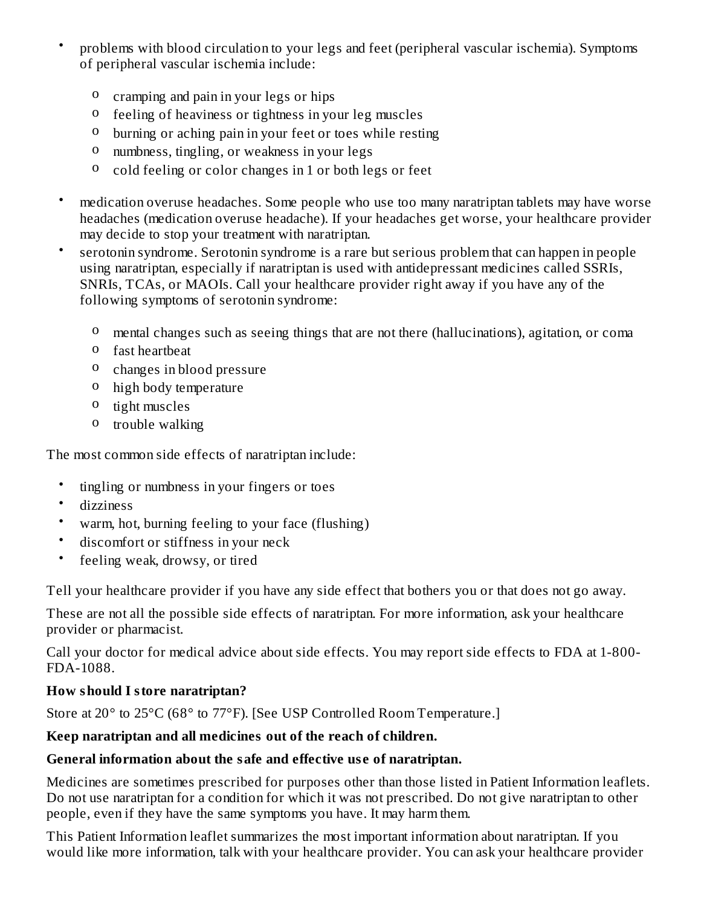- problems with blood circulation to your legs and feet (peripheral vascular ischemia). Symptoms of peripheral vascular ischemia include:
	- o cramping and pain in your legs or hips
	- o feeling of heaviness or tightness in your leg muscles
	- o burning or aching pain in your feet or toes while resting
	- o numbness, tingling, or weakness in your legs
	- o cold feeling or color changes in 1 or both legs or feet
- medication overuse headaches. Some people who use too many naratriptan tablets may have worse headaches (medication overuse headache). If your headaches get worse, your healthcare provider may decide to stop your treatment with naratriptan.
- serotonin syndrome. Serotonin syndrome is a rare but serious problem that can happen in people using naratriptan, especially if naratriptan is used with antidepressant medicines called SSRIs, SNRIs, TCAs, or MAOIs. Call your healthcare provider right away if you have any of the following symptoms of serotonin syndrome:
	- o mental changes such as seeing things that are not there (hallucinations), agitation, or coma
	- o fast heartbeat
	- o changes in blood pressure
	- o high body temperature
	- o tight muscles
	- o trouble walking

The most common side effects of naratriptan include:

- tingling or numbness in your fingers or toes
- dizziness

•

- warm, hot, burning feeling to your face (flushing)
- discomfort or stiffness in your neck
- feeling weak, drowsy, or tired

Tell your healthcare provider if you have any side effect that bothers you or that does not go away.

These are not all the possible side effects of naratriptan. For more information, ask your healthcare provider or pharmacist.

Call your doctor for medical advice about side effects. You may report side effects to FDA at 1-800- FDA-1088.

### **How should I store naratriptan?**

Store at 20° to 25°C (68° to 77°F). [See USP Controlled Room Temperature.]

### **Keep naratriptan and all medicines out of the reach of children.**

### **General information about the safe and effective us e of naratriptan.**

Medicines are sometimes prescribed for purposes other than those listed in Patient Information leaflets. Do not use naratriptan for a condition for which it was not prescribed. Do not give naratriptan to other people, even if they have the same symptoms you have. It may harm them.

This Patient Information leaflet summarizes the most important information about naratriptan. If you would like more information, talk with your healthcare provider. You can ask your healthcare provider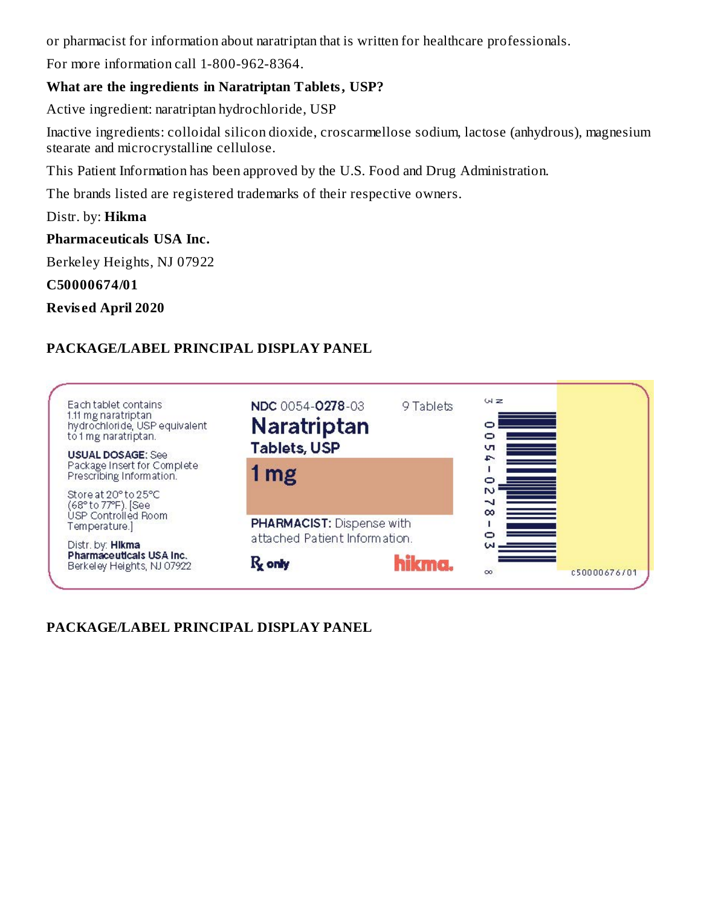or pharmacist for information about naratriptan that is written for healthcare professionals.

For more information call 1-800-962-8364.

#### **What are the ingredients in Naratriptan Tablets, USP?**

Active ingredient: naratriptan hydrochloride, USP

Inactive ingredients: colloidal silicon dioxide, croscarmellose sodium, lactose (anhydrous), magnesium stearate and microcrystalline cellulose.

This Patient Information has been approved by the U.S. Food and Drug Administration.

The brands listed are registered trademarks of their respective owners.

Distr. by: **Hikma**

#### **Pharmaceuticals USA Inc.**

Berkeley Heights, NJ 07922

**C50000674/01**

**Revis ed April 2020**

## **PACKAGE/LABEL PRINCIPAL DISPLAY PANEL**

| Each tablet contains<br>1.11 mg naratriptan<br>hydrochloride, USP equivalent<br>to 1 mg naratriptan.<br><b>USUAL DOSAGE: See</b> | NDC 0054-0278-03<br>Naratriptan<br><b>Tablets, USP</b> | 9 Tablets | $W \ge$<br>vп<br>f. |              |
|----------------------------------------------------------------------------------------------------------------------------------|--------------------------------------------------------|-----------|---------------------|--------------|
| Package Insert for Complete<br>Prescribing Information.                                                                          | 1 <sub>mg</sub>                                        |           | o                   |              |
| Store at 20° to 25°C<br>(68° to 77°F). [See<br>ÙSP Controlled Room<br>Temperature.]                                              | PHARMACIST: Dispense with                              |           | N<br>∼<br>$\infty$  |              |
| Distr. by: <b>Hikma</b>                                                                                                          | attached Patient Information.                          |           | ω                   |              |
| Pharmaceuticals USA Inc.<br>Berkeley Heights, NJ 07922                                                                           | $R_{\rm x}$ only                                       | hikma.    | $\infty$            | c50000676/01 |

**PACKAGE/LABEL PRINCIPAL DISPLAY PANEL**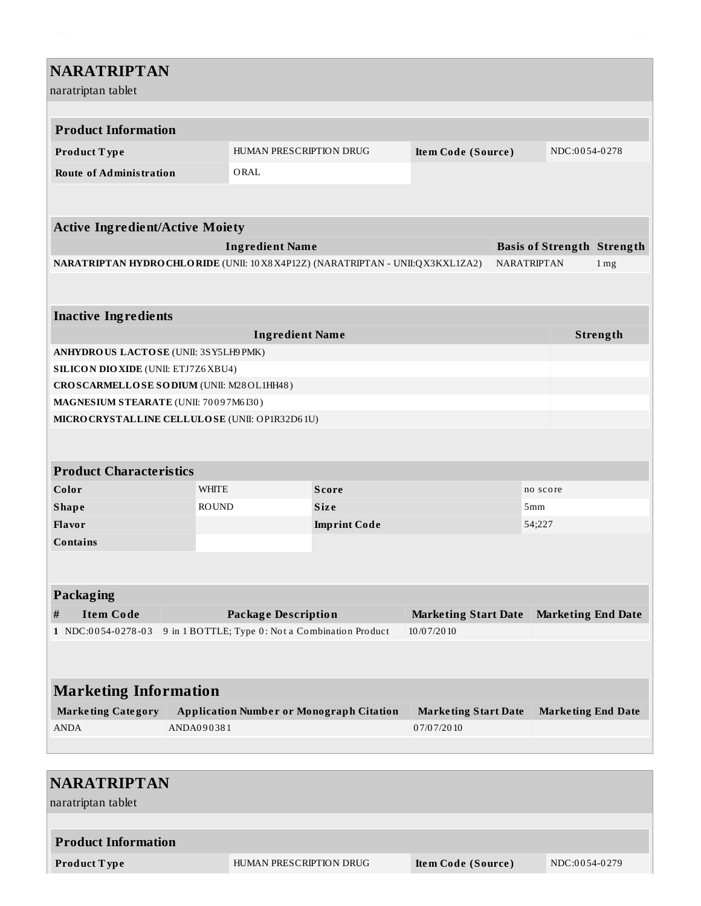| <b>NARATRIPTAN</b>                                                              |                                                           |                                                  |                     |                             |                           |  |                                   |
|---------------------------------------------------------------------------------|-----------------------------------------------------------|--------------------------------------------------|---------------------|-----------------------------|---------------------------|--|-----------------------------------|
| naratriptan tablet                                                              |                                                           |                                                  |                     |                             |                           |  |                                   |
|                                                                                 |                                                           |                                                  |                     |                             |                           |  |                                   |
| <b>Product Information</b>                                                      |                                                           |                                                  |                     |                             |                           |  |                                   |
| Product Type                                                                    |                                                           | HUMAN PRESCRIPTION DRUG<br>Item Code (Source)    |                     |                             |                           |  | NDC:0054-0278                     |
| <b>Route of Administration</b>                                                  |                                                           | ORAL                                             |                     |                             |                           |  |                                   |
|                                                                                 |                                                           |                                                  |                     |                             |                           |  |                                   |
| <b>Active Ingredient/Active Moiety</b>                                          |                                                           |                                                  |                     |                             |                           |  |                                   |
|                                                                                 |                                                           | <b>Ingredient Name</b>                           |                     |                             |                           |  | <b>Basis of Strength Strength</b> |
| NARATRIPTAN HYDRO CHLORIDE (UNII: 10 X8 X4P12Z) (NARATRIPTAN - UNII:QX3KXL1ZA2) |                                                           |                                                  |                     |                             | NARATRIPTAN               |  | $1 \,\mathrm{mg}$                 |
|                                                                                 |                                                           |                                                  |                     |                             |                           |  |                                   |
| <b>Inactive Ingredients</b>                                                     |                                                           |                                                  |                     |                             |                           |  |                                   |
|                                                                                 |                                                           | <b>Ingredient Name</b>                           |                     |                             |                           |  | Strength                          |
| ANHYDROUS LACTOSE (UNII: 3SY5LH9 PMK)                                           |                                                           |                                                  |                     |                             |                           |  |                                   |
| <b>SILICON DIO XIDE (UNII: ETJ7Z6 XBU4)</b>                                     |                                                           |                                                  |                     |                             |                           |  |                                   |
|                                                                                 | CROSCARMELLOSE SODIUM (UNII: M28OL1HH48)                  |                                                  |                     |                             |                           |  |                                   |
| MAGNESIUM STEARATE (UNII: 70097M6I30)                                           |                                                           |                                                  |                     |                             |                           |  |                                   |
| MICRO CRYSTALLINE CELLULOSE (UNII: OP1R32D61U)                                  |                                                           |                                                  |                     |                             |                           |  |                                   |
|                                                                                 |                                                           |                                                  |                     |                             |                           |  |                                   |
|                                                                                 |                                                           |                                                  |                     |                             |                           |  |                                   |
| <b>Product Characteristics</b>                                                  | <b>WHITE</b>                                              |                                                  |                     |                             |                           |  |                                   |
| Color                                                                           |                                                           | <b>ROUND</b>                                     | <b>Score</b>        |                             | no score<br>5mm           |  |                                   |
| <b>Shape</b><br>Flavor                                                          |                                                           |                                                  | Size                | 54;227                      |                           |  |                                   |
| Contains                                                                        |                                                           |                                                  | <b>Imprint Code</b> |                             |                           |  |                                   |
|                                                                                 |                                                           |                                                  |                     |                             |                           |  |                                   |
|                                                                                 |                                                           |                                                  |                     |                             |                           |  |                                   |
| Packaging                                                                       |                                                           |                                                  |                     |                             |                           |  |                                   |
| <b>Item Code</b><br>#                                                           | <b>Package Description</b><br><b>Marketing Start Date</b> |                                                  |                     |                             | <b>Marketing End Date</b> |  |                                   |
| 1 NDC:0054-0278-03                                                              |                                                           | 9 in 1 BOTTLE; Type 0: Not a Combination Product |                     | 10/07/2010                  |                           |  |                                   |
|                                                                                 |                                                           |                                                  |                     |                             |                           |  |                                   |
|                                                                                 |                                                           |                                                  |                     |                             |                           |  |                                   |
| <b>Marketing Information</b>                                                    |                                                           |                                                  |                     |                             |                           |  |                                   |
| <b>Marketing Category</b>                                                       | <b>Application Number or Monograph Citation</b>           |                                                  |                     | <b>Marketing Start Date</b> |                           |  | <b>Marketing End Date</b>         |
| <b>ANDA</b>                                                                     | ANDA090381                                                |                                                  |                     | 07/07/2010                  |                           |  |                                   |
|                                                                                 |                                                           |                                                  |                     |                             |                           |  |                                   |
|                                                                                 |                                                           |                                                  |                     |                             |                           |  |                                   |
| <b>NARATRIPTAN</b>                                                              |                                                           |                                                  |                     |                             |                           |  |                                   |

naratriptan tablet

# **Product Information**

**Product Type ITEL HUMAN PRESCRIPTION DRUG Item Code (Source) NDC:0054-0279**